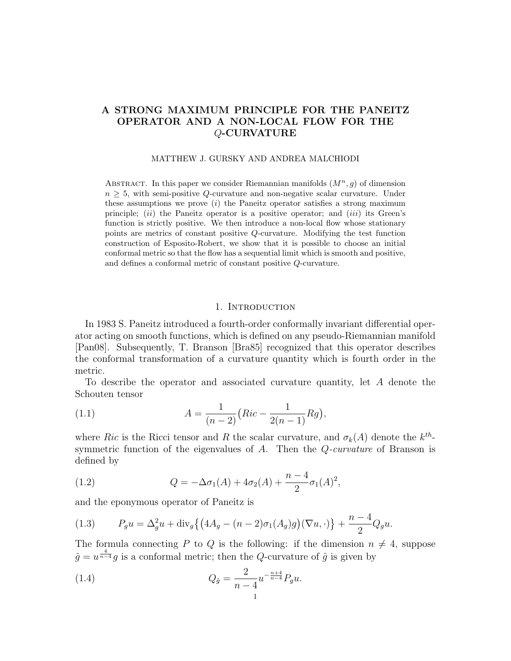# A STRONG MAXIMUM PRINCIPLE FOR THE PANEITZ OPERATOR AND A NON-LOCAL FLOW FOR THE Q-CURVATURE

#### MATTHEW J. GURSKY AND ANDREA MALCHIODI

ABSTRACT. In this paper we consider Riemannian manifolds  $(M^n, g)$  of dimension  $n \geq 5$ , with semi-positive Q-curvature and non-negative scalar curvature. Under these assumptions we prove  $(i)$  the Paneitz operator satisfies a strong maximum principle; (ii) the Paneitz operator is a positive operator; and (iii) its Green's function is strictly positive. We then introduce a non-local flow whose stationary points are metrics of constant positive Q-curvature. Modifying the test function construction of Esposito-Robert, we show that it is possible to choose an initial conformal metric so that the flow has a sequential limit which is smooth and positive, and defines a conformal metric of constant positive Q-curvature.

## 1. INTRODUCTION

In 1983 S. Paneitz introduced a fourth-order conformally invariant differential operator acting on smooth functions, which is defined on any pseudo-Riemannian manifold [Pan08]. Subsequently, T. Branson [Bra85] recognized that this operator describes the conformal transformation of a curvature quantity which is fourth order in the metric.

To describe the operator and associated curvature quantity, let A denote the Schouten tensor

(1.1) 
$$
A = \frac{1}{(n-2)}(Ric - \frac{1}{2(n-1)}Rg),
$$

where Ric is the Ricci tensor and R the scalar curvature, and  $\sigma_k(A)$  denote the  $k^{th}$ symmetric function of the eigenvalues of  $A$ . Then the  $Q$ -curvature of Branson is defined by

(1.2) 
$$
Q = -\Delta \sigma_1(A) + 4\sigma_2(A) + \frac{n-4}{2}\sigma_1(A)^2,
$$

and the eponymous operator of Paneitz is

(1.3) 
$$
P_g u = \Delta_g^2 u + \text{div}_g \{ \left( 4A_g - (n-2)\sigma_1(A_g)g \right) (\nabla u, \cdot) \} + \frac{n-4}{2} Q_g u.
$$

The formula connecting P to Q is the following: if the dimension  $n \neq 4$ , suppose  $\hat{g} = u^{\frac{4}{n-4}}g$  is a conformal metric; then the Q-curvature of  $\hat{g}$  is given by

(1.4) 
$$
Q_{\hat{g}} = \frac{2}{n-4} u^{-\frac{n+4}{n-4}} P_g u.
$$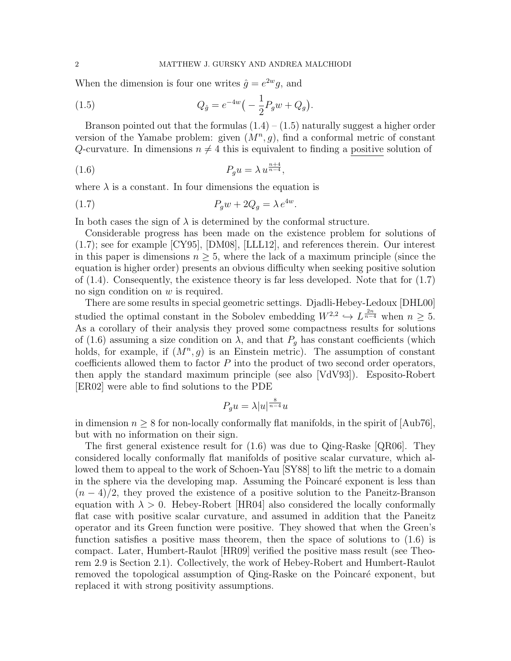When the dimension is four one writes  $\hat{g} = e^{2w}g$ , and

(1.5) 
$$
Q_{\hat{g}} = e^{-4w} \left( -\frac{1}{2} P_g w + Q_g \right).
$$

Branson pointed out that the formulas  $(1.4) - (1.5)$  naturally suggest a higher order version of the Yamabe problem: given  $(M^n, g)$ , find a conformal metric of constant Q-curvature. In dimensions  $n \neq 4$  this is equivalent to finding a positive solution of

$$
(1.6)\qquad \qquad P_g u = \lambda \, u^{\frac{n+4}{n-4}},
$$

where  $\lambda$  is a constant. In four dimensions the equation is

$$
(1.7) \t\t P_g w + 2Q_g = \lambda e^{4w}.
$$

In both cases the sign of  $\lambda$  is determined by the conformal structure.

Considerable progress has been made on the existence problem for solutions of (1.7); see for example [CY95], [DM08], [LLL12], and references therein. Our interest in this paper is dimensions  $n \geq 5$ , where the lack of a maximum principle (since the equation is higher order) presents an obvious difficulty when seeking positive solution of (1.4). Consequently, the existence theory is far less developed. Note that for (1.7) no sign condition on w is required.

There are some results in special geometric settings. Djadli-Hebey-Ledoux [DHL00] studied the optimal constant in the Sobolev embedding  $W^{2,2} \hookrightarrow L^{\frac{2n}{n-4}}$  when  $n \geq 5$ . As a corollary of their analysis they proved some compactness results for solutions of (1.6) assuming a size condition on  $\lambda$ , and that  $P_g$  has constant coefficients (which holds, for example, if  $(M^n, g)$  is an Einstein metric). The assumption of constant coefficients allowed them to factor P into the product of two second order operators, then apply the standard maximum principle (see also [VdV93]). Esposito-Robert [ER02] were able to find solutions to the PDE

$$
P_g u = \lambda |u|^{\frac{8}{n-4}} u
$$

in dimension  $n \geq 8$  for non-locally conformally flat manifolds, in the spirit of [Aub76], but with no information on their sign.

The first general existence result for (1.6) was due to Qing-Raske [QR06]. They considered locally conformally flat manifolds of positive scalar curvature, which allowed them to appeal to the work of Schoen-Yau [SY88] to lift the metric to a domain in the sphere via the developing map. Assuming the Poincaré exponent is less than  $(n-4)/2$ , they proved the existence of a positive solution to the Paneitz-Branson equation with  $\lambda > 0$ . Hebey-Robert [HR04] also considered the locally conformally flat case with positive scalar curvature, and assumed in addition that the Paneitz operator and its Green function were positive. They showed that when the Green's function satisfies a positive mass theorem, then the space of solutions to (1.6) is compact. Later, Humbert-Raulot [HR09] verified the positive mass result (see Theorem 2.9 is Section 2.1). Collectively, the work of Hebey-Robert and Humbert-Raulot removed the topological assumption of Qing-Raske on the Poincaré exponent, but replaced it with strong positivity assumptions.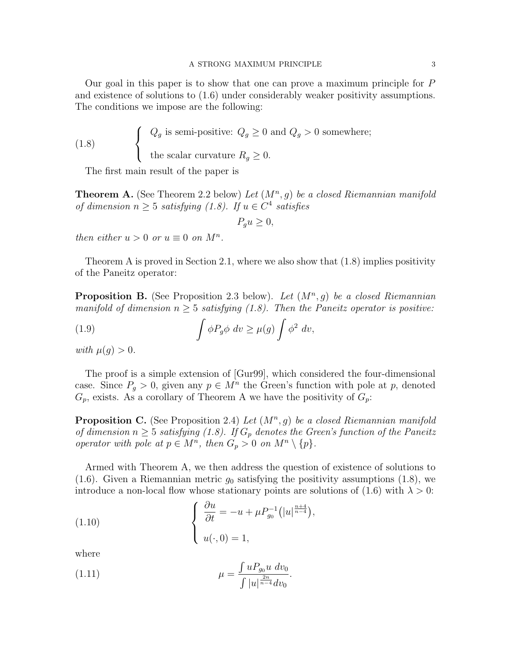Our goal in this paper is to show that one can prove a maximum principle for P and existence of solutions to (1.6) under considerably weaker positivity assumptions. The conditions we impose are the following:

(1.8) 
$$
\begin{cases} Q_g \text{ is semi-positive: } Q_g \ge 0 \text{ and } Q_g > 0 \text{ somewhere;} \\ \text{the scalar curvature } R_g \ge 0. \end{cases}
$$

The first main result of the paper is

**Theorem A.** (See Theorem 2.2 below) Let  $(M^n, g)$  be a closed Riemannian manifold of dimension  $n \geq 5$  satisfying (1.8). If  $u \in C^4$  satisfies

 $P_du \geq 0$ ,

then either  $u > 0$  or  $u \equiv 0$  on  $M^n$ .

Theorem A is proved in Section 2.1, where we also show that (1.8) implies positivity of the Paneitz operator:

**Proposition B.** (See Proposition 2.3 below). Let  $(M^n, g)$  be a closed Riemannian manifold of dimension  $n \geq 5$  satisfying (1.8). Then the Paneitz operator is positive:

(1.9) 
$$
\int \phi P_g \phi \ dv \geq \mu(g) \int \phi^2 \ dv,
$$

with  $\mu(q) > 0$ .

The proof is a simple extension of [Gur99], which considered the four-dimensional case. Since  $P_g > 0$ , given any  $p \in M^n$  the Green's function with pole at p, denoted  $G_p$ , exists. As a corollary of Theorem A we have the positivity of  $G_p$ :

**Proposition C.** (See Proposition 2.4) Let  $(M^n, g)$  be a closed Riemannian manifold of dimension  $n \geq 5$  satisfying (1.8). If  $G_p$  denotes the Green's function of the Paneitz operator with pole at  $p \in M^n$ , then  $G_p > 0$  on  $M^n \setminus \{p\}$ .

Armed with Theorem A, we then address the question of existence of solutions to (1.6). Given a Riemannian metric  $g_0$  satisfying the positivity assumptions (1.8), we introduce a non-local flow whose stationary points are solutions of (1.6) with  $\lambda > 0$ :

(1.10) 
$$
\begin{cases} \frac{\partial u}{\partial t} = -u + \mu P_{g_0}^{-1} (|u|^{\frac{n+4}{n-4}}), \\ u(\cdot, 0) = 1, \end{cases}
$$

where

(1.11) 
$$
\mu = \frac{\int u P_{g_0} u \, dv_0}{\int |u|^{\frac{2n}{n-4}} dv_0}.
$$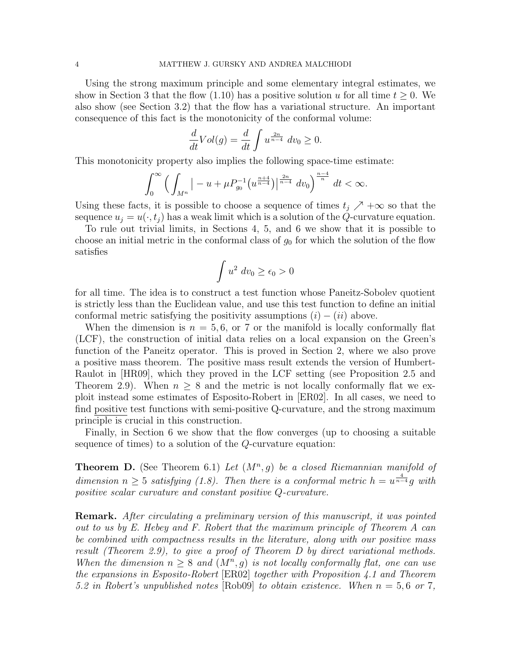Using the strong maximum principle and some elementary integral estimates, we show in Section 3 that the flow (1.10) has a positive solution u for all time  $t \geq 0$ . We also show (see Section 3.2) that the flow has a variational structure. An important consequence of this fact is the monotonicity of the conformal volume:

$$
\frac{d}{dt}Vol(g) = \frac{d}{dt} \int u^{\frac{2n}{n-4}} dv_0 \ge 0.
$$

This monotonicity property also implies the following space-time estimate:

$$
\int_0^\infty \Big( \int_{M^n} \big| -u + \mu P_{g_0}^{-1} \big( u^{\frac{n+4}{n-4}} \big) \big|^{\frac{2n}{n-4}} dv_0 \Big)^{\frac{n-4}{n}} dt < \infty.
$$

Using these facts, it is possible to choose a sequence of times  $t_j \nearrow +\infty$  so that the sequence  $u_j = u(\cdot, t_j)$  has a weak limit which is a solution of the Q-curvature equation.

To rule out trivial limits, in Sections 4, 5, and 6 we show that it is possible to choose an initial metric in the conformal class of  $g_0$  for which the solution of the flow satisfies

$$
\int u^2\;dv_0\geq\epsilon_0>0
$$

for all time. The idea is to construct a test function whose Paneitz-Sobolev quotient is strictly less than the Euclidean value, and use this test function to define an initial conformal metric satisfying the positivity assumptions  $(i) - (ii)$  above.

When the dimension is  $n = 5, 6$ , or 7 or the manifold is locally conformally flat (LCF), the construction of initial data relies on a local expansion on the Green's function of the Paneitz operator. This is proved in Section 2, where we also prove a positive mass theorem. The positive mass result extends the version of Humbert-Raulot in [HR09], which they proved in the LCF setting (see Proposition 2.5 and Theorem 2.9). When  $n \geq 8$  and the metric is not locally conformally flat we exploit instead some estimates of Esposito-Robert in [ER02]. In all cases, we need to find positive test functions with semi-positive Q-curvature, and the strong maximum principle is crucial in this construction.

Finally, in Section 6 we show that the flow converges (up to choosing a suitable sequence of times) to a solution of the Q-curvature equation:

**Theorem D.** (See Theorem 6.1) Let  $(M^n, g)$  be a closed Riemannian manifold of dimension  $n \geq 5$  satisfying (1.8). Then there is a conformal metric  $h = u^{\frac{4}{n-4}}g$  with positive scalar curvature and constant positive Q-curvature.

**Remark.** After circulating a preliminary version of this manuscript, it was pointed out to us by E. Hebey and F. Robert that the maximum principle of Theorem A can be combined with compactness results in the literature, along with our positive mass result (Theorem 2.9), to give a proof of Theorem D by direct variational methods. When the dimension  $n \geq 8$  and  $(M^n, g)$  is not locally conformally flat, one can use the expansions in Esposito-Robert [ER02] together with Proposition 4.1 and Theorem 5.2 in Robert's unpublished notes [Rob09] to obtain existence. When  $n = 5, 6$  or 7,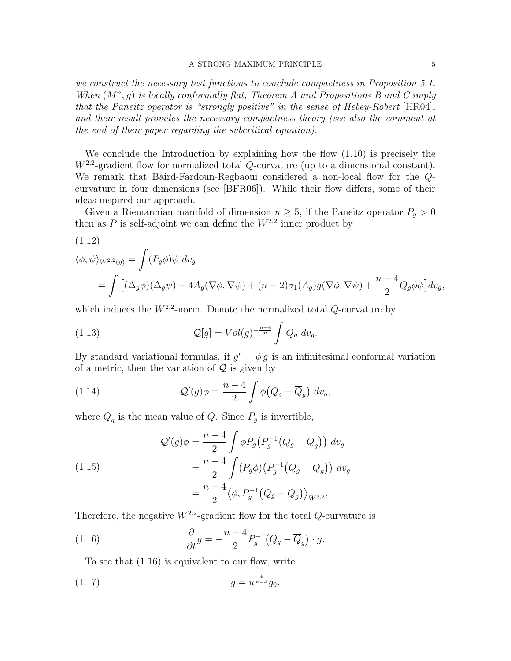we construct the necessary test functions to conclude compactness in Proposition 5.1. When  $(M^n, g)$  is locally conformally flat, Theorem A and Propositions B and C imply that the Paneitz operator is "strongly positive" in the sense of Hebey-Robert [HR04], and their result provides the necessary compactness theory (see also the comment at the end of their paper regarding the subcritical equation).

We conclude the Introduction by explaining how the flow (1.10) is precisely the  $W^{2,2}$ -gradient flow for normalized total Q-curvature (up to a dimensional constant). We remark that Baird-Fardoun-Regbaoui considered a non-local flow for the Qcurvature in four dimensions (see [BFR06]). While their flow differs, some of their ideas inspired our approach.

Given a Riemannian manifold of dimension  $n \geq 5$ , if the Paneitz operator  $P_g > 0$ then as P is self-adjoint we can define the  $W^{2,2}$  inner product by

(1.12)  
\n
$$
\langle \phi, \psi \rangle_{W^{2,2}(g)} = \int (P_g \phi) \psi \ dv_g
$$
\n
$$
= \int \left[ (\Delta_g \phi)(\Delta_g \psi) - 4A_g(\nabla \phi, \nabla \psi) + (n-2)\sigma_1(A_g)g(\nabla \phi, \nabla \psi) + \frac{n-4}{2}Q_g \phi \psi \right] dv_g,
$$

which induces the  $W^{2,2}$ -norm. Denote the normalized total  $Q$ -curvature by

(1.13) 
$$
\mathcal{Q}[g] = Vol(g)^{-\frac{n-4}{n}} \int Q_g dv_g.
$$

By standard variational formulas, if  $g' = \phi g$  is an infinitesimal conformal variation of a metric, then the variation of  $Q$  is given by

(1.14) 
$$
\mathcal{Q}'(g)\phi = \frac{n-4}{2}\int \phi(Q_g - \overline{Q}_g) dv_g,
$$

where  $Q_g$  is the mean value of Q. Since  $P_g$  is invertible,

(1.15)  
\n
$$
\begin{aligned}\n\mathcal{Q}'(g)\phi &= \frac{n-4}{2} \int \phi P_g \left( P_g^{-1} \left( Q_g - \overline{Q}_g \right) \right) dv_g \\
&= \frac{n-4}{2} \int \left( P_g \phi \right) \left( P_g^{-1} \left( Q_g - \overline{Q}_g \right) \right) dv_g \\
&= \frac{n-4}{2} \langle \phi, P_g^{-1} \left( Q_g - \overline{Q}_g \right) \rangle_{W^{2,2}}.\n\end{aligned}
$$

Therefore, the negative  $W^{2,2}$ -gradient flow for the total  $Q$ -curvature is

(1.16) 
$$
\frac{\partial}{\partial t}g = -\frac{n-4}{2}P_g^{-1}(Q_g - \overline{Q}_g) \cdot g.
$$

To see that (1.16) is equivalent to our flow, write

(1.17) 
$$
g = u^{\frac{4}{n-4}} g_0.
$$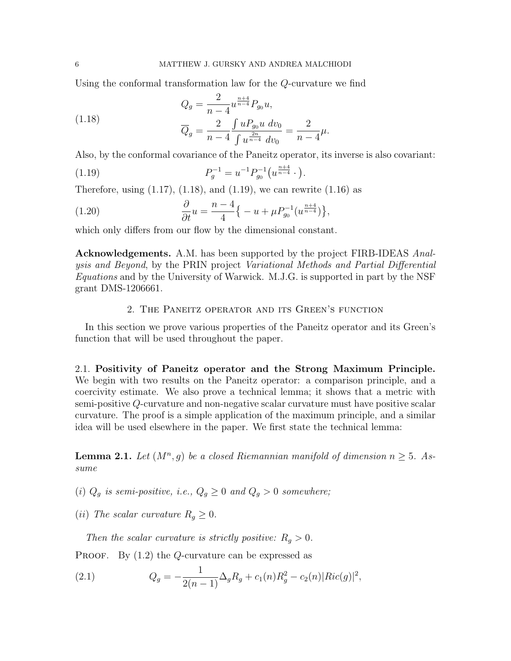Using the conformal transformation law for the Q-curvature we find

(1.18) 
$$
Q_g = \frac{2}{n-4} u^{\frac{n+4}{n-4}} P_{g_0} u,
$$

$$
\overline{Q}_g = \frac{2}{n-4} \frac{\int u P_{g_0} u \, dv_0}{\int u^{\frac{2n}{n-4}} \, dv_0} = \frac{2}{n-4} \mu.
$$

Also, by the conformal covariance of the Paneitz operator, its inverse is also covariant:

(1.19) 
$$
P_g^{-1} = u^{-1} P_{g_0}^{-1} \left( u^{\frac{n+4}{n-4}} \cdot \right).
$$

Therefore, using  $(1.17)$ ,  $(1.18)$ , and  $(1.19)$ , we can rewrite  $(1.16)$  as

(1.20) 
$$
\frac{\partial}{\partial t}u = \frac{n-4}{4}\{-u + \mu P_{g_0}^{-1}(u^{\frac{n+4}{n-4}})\},
$$

which only differs from our flow by the dimensional constant.

Acknowledgements. A.M. has been supported by the project FIRB-IDEAS Analysis and Beyond, by the PRIN project Variational Methods and Partial Differential Equations and by the University of Warwick. M.J.G. is supported in part by the NSF grant DMS-1206661.

### 2. The Paneitz operator and its Green's function

In this section we prove various properties of the Paneitz operator and its Green's function that will be used throughout the paper.

2.1. Positivity of Paneitz operator and the Strong Maximum Principle. We begin with two results on the Paneitz operator: a comparison principle, and a coercivity estimate. We also prove a technical lemma; it shows that a metric with semi-positive Q-curvature and non-negative scalar curvature must have positive scalar curvature. The proof is a simple application of the maximum principle, and a similar idea will be used elsewhere in the paper. We first state the technical lemma:

**Lemma 2.1.** Let  $(M^n, g)$  be a closed Riemannian manifold of dimension  $n \geq 5$ . Assume

- (i)  $Q_g$  is semi-positive, i.e.,  $Q_g \geq 0$  and  $Q_g > 0$  somewhere;
- (*ii*) The scalar curvature  $R_g \geq 0$ .

Then the scalar curvature is strictly positive:  $R_g > 0$ .

**PROOF.** By  $(1.2)$  the Q-curvature can be expressed as

(2.1) 
$$
Q_g = -\frac{1}{2(n-1)}\Delta_g R_g + c_1(n)R_g^2 - c_2(n)|Ric(g)|^2,
$$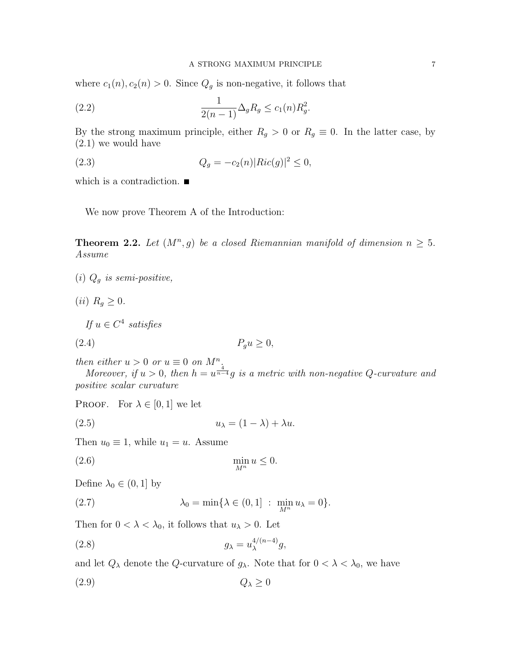where  $c_1(n), c_2(n) > 0$ . Since  $Q_g$  is non-negative, it follows that

(2.2) 
$$
\frac{1}{2(n-1)} \Delta_g R_g \le c_1(n) R_g^2.
$$

By the strong maximum principle, either  $R_g > 0$  or  $R_g \equiv 0$ . In the latter case, by (2.1) we would have

(2.3) 
$$
Q_g = -c_2(n)|Ric(g)|^2 \le 0,
$$

which is a contradiction.

We now prove Theorem A of the Introduction:

**Theorem 2.2.** Let  $(M^n, g)$  be a closed Riemannian manifold of dimension  $n \geq 5$ . Assume

(i)  $Q_g$  is semi-positive,

(*ii*)  $R_g \geq 0$ .

If  $u \in C^4$  satisfies

$$
(2.4) \t\t P_g u \ge 0,
$$

then either  $u > 0$  or  $u \equiv 0$  on  $M^n$ .

Moreover, if  $u > 0$ , then  $h = u^{\frac{4}{n-4}}g$  is a metric with non-negative Q-curvature and positive scalar curvature

PROOF. For  $\lambda \in [0,1]$  we let

$$
(2.5) \t\t u_{\lambda} = (1 - \lambda) + \lambda u.
$$

Then  $u_0 \equiv 1$ , while  $u_1 = u$ . Assume

$$
\min_{M^n} u \le 0.
$$

Define  $\lambda_0 \in (0,1]$  by

(2.7) 
$$
\lambda_0 = \min \{ \lambda \in (0, 1] : \min_{M^n} u_\lambda = 0 \}.
$$

Then for  $0 < \lambda < \lambda_0$ , it follows that  $u_{\lambda} > 0$ . Let

$$
(2.8) \t\t g_{\lambda} = u_{\lambda}^{4/(n-4)}g,
$$

and let  $Q_{\lambda}$  denote the Q-curvature of  $g_{\lambda}$ . Note that for  $0 < \lambda < \lambda_0$ , we have

$$
(2.9) \tQ_{\lambda} \ge 0
$$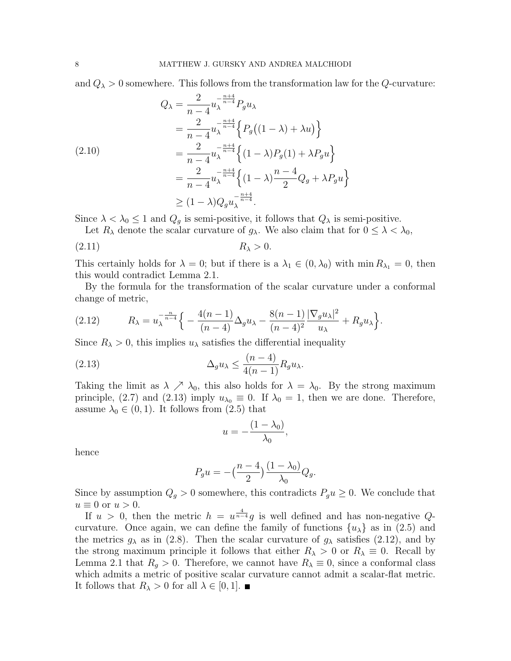and  $Q_{\lambda} > 0$  somewhere. This follows from the transformation law for the Q-curvature:

$$
Q_{\lambda} = \frac{2}{n-4} u_{\lambda}^{-\frac{n+4}{n-4}} P_g u_{\lambda}
$$
  
=  $\frac{2}{n-4} u_{\lambda}^{-\frac{n+4}{n-4}} \Big\{ P_g \big( (1-\lambda) + \lambda u \big) \Big\}$   
=  $\frac{2}{n-4} u_{\lambda}^{-\frac{n+4}{n-4}} \Big\{ (1-\lambda) P_g(1) + \lambda P_g u \Big\}$   
=  $\frac{2}{n-4} u_{\lambda}^{-\frac{n+4}{n-4}} \Big\{ (1-\lambda) \frac{n-4}{2} Q_g + \lambda P_g u \Big\}$   
 $\ge (1-\lambda) Q_g u_{\lambda}^{-\frac{n+4}{n-4}}.$ 

Since  $\lambda < \lambda_0 \leq 1$  and  $Q_g$  is semi-positive, it follows that  $Q_{\lambda}$  is semi-positive.

Let  $R_{\lambda}$  denote the scalar curvature of  $g_{\lambda}$ . We also claim that for  $0 \leq \lambda < \lambda_0$ ,

$$
(2.11) \t\t R_{\lambda} > 0.
$$

This certainly holds for  $\lambda = 0$ ; but if there is a  $\lambda_1 \in (0, \lambda_0)$  with  $\min R_{\lambda_1} = 0$ , then this would contradict Lemma 2.1.

By the formula for the transformation of the scalar curvature under a conformal change of metric,

(2.12) 
$$
R_{\lambda} = u_{\lambda}^{-\frac{n}{n-4}} \Big\{ -\frac{4(n-1)}{(n-4)} \Delta_g u_{\lambda} - \frac{8(n-1)}{(n-4)^2} \frac{|\nabla_g u_{\lambda}|^2}{u_{\lambda}} + R_g u_{\lambda} \Big\}.
$$

Since  $R_{\lambda} > 0$ , this implies  $u_{\lambda}$  satisfies the differential inequality

(2.13) 
$$
\Delta_g u_\lambda \leq \frac{(n-4)}{4(n-1)} R_g u_\lambda.
$$

Taking the limit as  $\lambda \nearrow \lambda_0$ , this also holds for  $\lambda = \lambda_0$ . By the strong maximum principle, (2.7) and (2.13) imply  $u_{\lambda_0} \equiv 0$ . If  $\lambda_0 = 1$ , then we are done. Therefore, assume  $\lambda_0 \in (0,1)$ . It follows from  $(2.5)$  that

$$
u = -\frac{(1 - \lambda_0)}{\lambda_0},
$$

hence

$$
P_g u = -\left(\frac{n-4}{2}\right) \frac{(1-\lambda_0)}{\lambda_0} Q_g.
$$

Since by assumption  $Q_g > 0$  somewhere, this contradicts  $P_g u \geq 0$ . We conclude that  $u \equiv 0$  or  $u > 0$ .

If  $u > 0$ , then the metric  $h = u^{\frac{4}{n-4}}g$  is well defined and has non-negative Qcurvature. Once again, we can define the family of functions  $\{u_{\lambda}\}\$ as in (2.5) and the metrics  $g_{\lambda}$  as in (2.8). Then the scalar curvature of  $g_{\lambda}$  satisfies (2.12), and by the strong maximum principle it follows that either  $R_{\lambda} > 0$  or  $R_{\lambda} \equiv 0$ . Recall by Lemma 2.1 that  $R_g > 0$ . Therefore, we cannot have  $R_\lambda \equiv 0$ , since a conformal class which admits a metric of positive scalar curvature cannot admit a scalar-flat metric. It follows that  $R_{\lambda} > 0$  for all  $\lambda \in [0, 1]$ .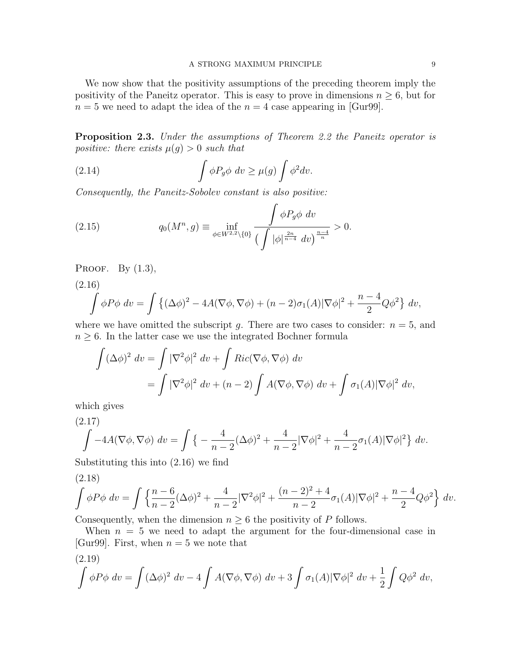We now show that the positivity assumptions of the preceding theorem imply the positivity of the Paneitz operator. This is easy to prove in dimensions  $n \geq 6$ , but for  $n = 5$  we need to adapt the idea of the  $n = 4$  case appearing in [Gur99].

**Proposition 2.3.** Under the assumptions of Theorem 2.2 the Paneitz operator is positive: there exists  $\mu(g) > 0$  such that

(2.14) 
$$
\int \phi P_g \phi \ dv \geq \mu(g) \int \phi^2 dv.
$$

Consequently, the Paneitz-Sobolev constant is also positive:

(2.15) 
$$
q_0(M^n, g) \equiv \inf_{\phi \in W^{2,2} \setminus \{0\}} \frac{\int \phi P_g \phi \ dv}{\left(\int |\phi|^{\frac{2n}{n-4}} \ dv\right)^{\frac{n-4}{n}}} > 0.
$$

PROOF. By  $(1.3)$ ,

(2.16)  
\n
$$
\int \phi P \phi \, dv = \int \{ (\Delta \phi)^2 - 4A(\nabla \phi, \nabla \phi) + (n-2)\sigma_1(A) |\nabla \phi|^2 + \frac{n-4}{2} Q \phi^2 \} \, dv,
$$

where we have omitted the subscript g. There are two cases to consider:  $n = 5$ , and  $n \geq 6$ . In the latter case we use the integrated Bochner formula

$$
\int (\Delta \phi)^2 dv = \int |\nabla^2 \phi|^2 dv + \int Ric(\nabla \phi, \nabla \phi) dv
$$
  
= 
$$
\int |\nabla^2 \phi|^2 dv + (n-2) \int A(\nabla \phi, \nabla \phi) dv + \int \sigma_1(A) |\nabla \phi|^2 dv,
$$

which gives

(2.17)  
\n
$$
\int -4A(\nabla \phi, \nabla \phi) dv = \int \left\{ -\frac{4}{n-2} (\Delta \phi)^2 + \frac{4}{n-2} |\nabla \phi|^2 + \frac{4}{n-2} \sigma_1(A) |\nabla \phi|^2 \right\} dv.
$$

Substituting this into (2.16) we find

(2.18)  
\n
$$
\int \phi P \phi \ dv = \int \left\{ \frac{n-6}{n-2} (\Delta \phi)^2 + \frac{4}{n-2} |\nabla^2 \phi|^2 + \frac{(n-2)^2 + 4}{n-2} \sigma_1(A) |\nabla \phi|^2 + \frac{n-4}{2} Q \phi^2 \right\} dv.
$$

Consequently, when the dimension  $n \geq 6$  the positivity of P follows.

When  $n = 5$  we need to adapt the argument for the four-dimensional case in [Gur99]. First, when  $n = 5$  we note that

$$
(2.19)
$$

$$
\int \phi P \phi \, dv = \int (\Delta \phi)^2 \, dv - 4 \int A (\nabla \phi, \nabla \phi) \, dv + 3 \int \sigma_1(A) |\nabla \phi|^2 \, dv + \frac{1}{2} \int Q \phi^2 \, dv,
$$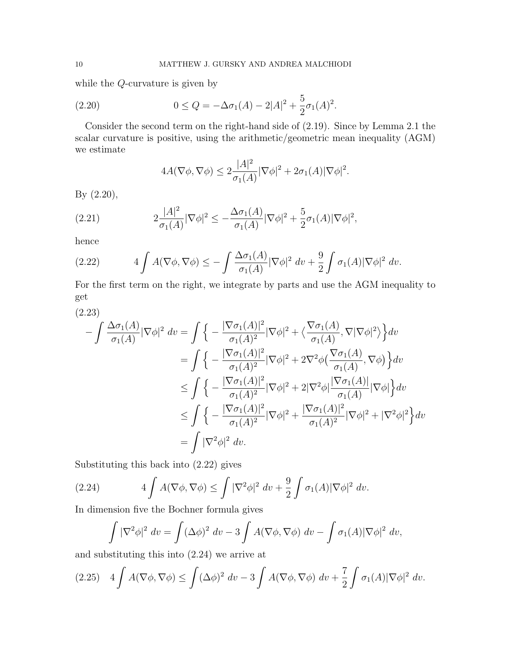while the Q-curvature is given by

(2.20) 
$$
0 \le Q = -\Delta \sigma_1(A) - 2|A|^2 + \frac{5}{2}\sigma_1(A)^2.
$$

Consider the second term on the right-hand side of (2.19). Since by Lemma 2.1 the scalar curvature is positive, using the arithmetic/geometric mean inequality (AGM) we estimate

$$
4A(\nabla \phi, \nabla \phi) \le 2\frac{|A|^2}{\sigma_1(A)}|\nabla \phi|^2 + 2\sigma_1(A)|\nabla \phi|^2.
$$

By (2.20),

(2.21) 
$$
2\frac{|A|^2}{\sigma_1(A)}|\nabla\phi|^2 \leq -\frac{\Delta\sigma_1(A)}{\sigma_1(A)}|\nabla\phi|^2 + \frac{5}{2}\sigma_1(A)|\nabla\phi|^2,
$$

hence

(2.22) 
$$
4\int A(\nabla \phi, \nabla \phi) \leq -\int \frac{\Delta \sigma_1(A)}{\sigma_1(A)} |\nabla \phi|^2 dv + \frac{9}{2} \int \sigma_1(A) |\nabla \phi|^2 dv.
$$

For the first term on the right, we integrate by parts and use the AGM inequality to get

$$
(2.23)
$$

$$
-\int \frac{\Delta \sigma_1(A)}{\sigma_1(A)} |\nabla \phi|^2 dv = \int \left\{ -\frac{|\nabla \sigma_1(A)|^2}{\sigma_1(A)^2} |\nabla \phi|^2 + \left\langle \frac{\nabla \sigma_1(A)}{\sigma_1(A)}, \nabla |\nabla \phi|^2 \right\rangle \right\} dv
$$
  
\n
$$
= \int \left\{ -\frac{|\nabla \sigma_1(A)|^2}{\sigma_1(A)^2} |\nabla \phi|^2 + 2\nabla^2 \phi \left( \frac{\nabla \sigma_1(A)}{\sigma_1(A)}, \nabla \phi \right) \right\} dv
$$
  
\n
$$
\leq \int \left\{ -\frac{|\nabla \sigma_1(A)|^2}{\sigma_1(A)^2} |\nabla \phi|^2 + 2|\nabla^2 \phi| \frac{|\nabla \sigma_1(A)|}{\sigma_1(A)} |\nabla \phi| \right\} dv
$$
  
\n
$$
\leq \int \left\{ -\frac{|\nabla \sigma_1(A)|^2}{\sigma_1(A)^2} |\nabla \phi|^2 + \frac{|\nabla \sigma_1(A)|^2}{\sigma_1(A)^2} |\nabla \phi|^2 + |\nabla^2 \phi|^2 \right\} dv
$$
  
\n
$$
= \int |\nabla^2 \phi|^2 dv.
$$

Substituting this back into (2.22) gives

(2.24) 
$$
4\int A(\nabla \phi, \nabla \phi) \leq \int |\nabla^2 \phi|^2 dv + \frac{9}{2} \int \sigma_1(A) |\nabla \phi|^2 dv.
$$

In dimension five the Bochner formula gives

$$
\int |\nabla^2 \phi|^2 dv = \int (\Delta \phi)^2 dv - 3 \int A(\nabla \phi, \nabla \phi) dv - \int \sigma_1(A) |\nabla \phi|^2 dv,
$$

and substituting this into (2.24) we arrive at

$$
(2.25) \quad 4 \int A(\nabla \phi, \nabla \phi) \le \int (\Delta \phi)^2 \ dv - 3 \int A(\nabla \phi, \nabla \phi) \ dv + \frac{7}{2} \int \sigma_1(A) |\nabla \phi|^2 \ dv.
$$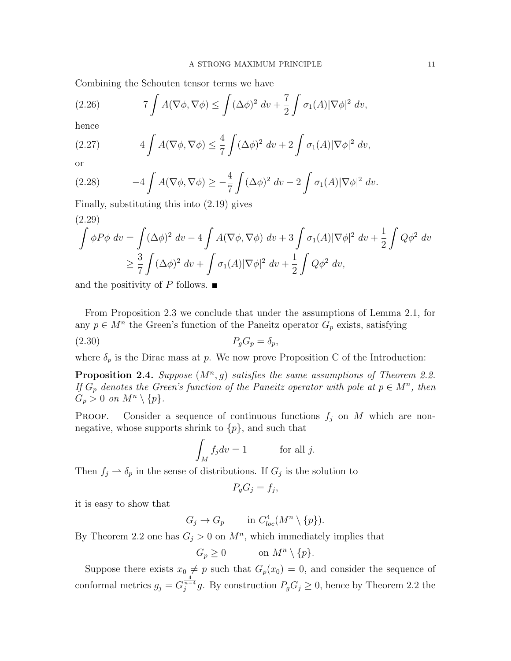Combining the Schouten tensor terms we have

(2.26) 
$$
7\int A(\nabla \phi, \nabla \phi) \le \int (\Delta \phi)^2 \, dv + \frac{7}{2} \int \sigma_1(A) |\nabla \phi|^2 \, dv,
$$

hence

(2.27) 
$$
4\int A(\nabla \phi, \nabla \phi) \leq \frac{4}{7} \int (\Delta \phi)^2 dv + 2 \int \sigma_1(A) |\nabla \phi|^2 dv,
$$

or

(2.28) 
$$
-4 \int A(\nabla \phi, \nabla \phi) \ge -\frac{4}{7} \int (\Delta \phi)^2 dv - 2 \int \sigma_1(A) |\nabla \phi|^2 dv.
$$

Finally, substituting this into (2.19) gives

(2.29)  
\n
$$
\int \phi P \phi \, dv = \int (\Delta \phi)^2 \, dv - 4 \int A(\nabla \phi, \nabla \phi) \, dv + 3 \int \sigma_1(A) |\nabla \phi|^2 \, dv + \frac{1}{2} \int Q \phi^2 \, dv
$$
\n
$$
\geq \frac{3}{7} \int (\Delta \phi)^2 \, dv + \int \sigma_1(A) |\nabla \phi|^2 \, dv + \frac{1}{2} \int Q \phi^2 \, dv,
$$

and the positivity of P follows.  $\blacksquare$ 

From Proposition 2.3 we conclude that under the assumptions of Lemma 2.1, for any  $p \in M^n$  the Green's function of the Paneitz operator  $G_p$  exists, satisfying

$$
(2.30) \t\t P_g G_p = \delta_p,
$$

where  $\delta_p$  is the Dirac mass at p. We now prove Proposition C of the Introduction:

**Proposition 2.4.** Suppose  $(M^n, g)$  satisfies the same assumptions of Theorem 2.2. If  $G_p$  denotes the Green's function of the Paneitz operator with pole at  $p \in M^n$ , then  $G_p > 0$  on  $M^n \setminus \{p\}.$ 

PROOF. Consider a sequence of continuous functions  $f_j$  on M which are nonnegative, whose supports shrink to  $\{p\}$ , and such that

$$
\int_M f_j dv = 1 \qquad \text{for all } j.
$$

Then  $f_j \rightharpoonup \delta_p$  in the sense of distributions. If  $G_j$  is the solution to

$$
P_g G_j = f_j,
$$

it is easy to show that

$$
G_j \to G_p \qquad \text{in } C^4_{loc}(M^n \setminus \{p\}).
$$

By Theorem 2.2 one has  $G_j > 0$  on  $M^n$ , which immediately implies that

$$
G_p \ge 0 \qquad \text{on } M^n \setminus \{p\}.
$$

Suppose there exists  $x_0 \neq p$  such that  $G_p(x_0) = 0$ , and consider the sequence of conformal metrics  $g_j = G_j^{\frac{4}{n-4}}g$ . By construction  $P_gG_j \geq 0$ , hence by Theorem 2.2 the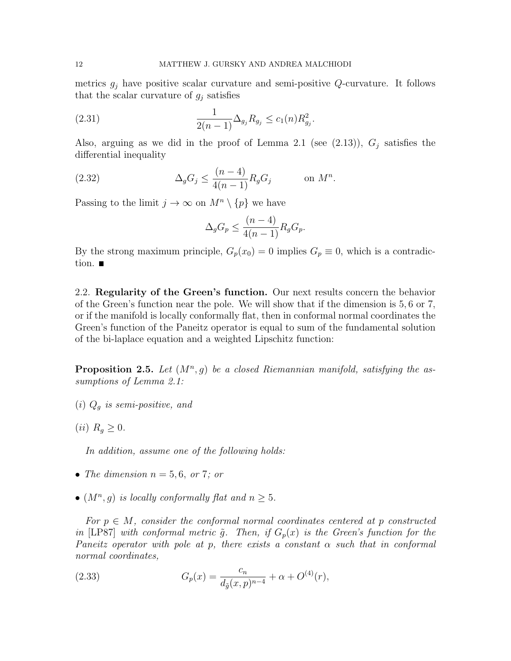metrics  $g_i$  have positive scalar curvature and semi-positive Q-curvature. It follows that the scalar curvature of  $g_j$  satisfies

(2.31) 
$$
\frac{1}{2(n-1)}\Delta_{g_j} R_{g_j} \le c_1(n) R_{g_j}^2.
$$

Also, arguing as we did in the proof of Lemma 2.1 (see  $(2.13)$ ),  $G_i$  satisfies the differential inequality

(2.32) 
$$
\Delta_g G_j \leq \frac{(n-4)}{4(n-1)} R_g G_j \qquad \text{on } M^n.
$$

Passing to the limit  $j \to \infty$  on  $M^n \setminus \{p\}$  we have

$$
\Delta_g G_p \le \frac{(n-4)}{4(n-1)} R_g G_p.
$$

By the strong maximum principle,  $G_p(x_0) = 0$  implies  $G_p \equiv 0$ , which is a contradiction.  $\blacksquare$ 

2.2. Regularity of the Green's function. Our next results concern the behavior of the Green's function near the pole. We will show that if the dimension is 5, 6 or 7, or if the manifold is locally conformally flat, then in conformal normal coordinates the Green's function of the Paneitz operator is equal to sum of the fundamental solution of the bi-laplace equation and a weighted Lipschitz function:

**Proposition 2.5.** Let  $(M^n, g)$  be a closed Riemannian manifold, satisfying the assumptions of Lemma 2.1:

(i)  $Q_g$  is semi-positive, and

$$
(ii) R_g \ge 0.
$$

In addition, assume one of the following holds:

- The dimension  $n = 5, 6, or 7; or$
- $(M^n, g)$  is locally conformally flat and  $n \geq 5$ .

For  $p \in M$ , consider the conformal normal coordinates centered at p constructed in [LP87] with conformal metric  $\tilde{g}$ . Then, if  $G_p(x)$  is the Green's function for the Paneitz operator with pole at p, there exists a constant  $\alpha$  such that in conformal normal coordinates,

(2.33) 
$$
G_p(x) = \frac{c_n}{d_{\tilde{g}}(x, p)^{n-4}} + \alpha + O^{(4)}(r),
$$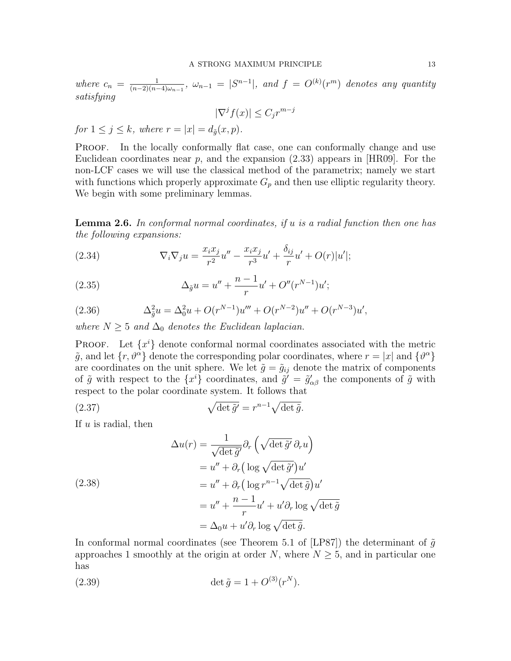where  $c_n = \frac{1}{(n-2)(n-1)}$  $\frac{1}{(n-2)(n-4)\omega_{n-1}}$ ,  $\omega_{n-1} = |S^{n-1}|$ , and  $f = O^{(k)}(r^m)$  denotes any quantity satisfying

$$
|\nabla^j f(x)| \le C_j r^{m-j}
$$

for  $1 \leq j \leq k$ , where  $r = |x| = d_{\tilde{a}}(x, p)$ .

PROOF. In the locally conformally flat case, one can conformally change and use Euclidean coordinates near  $p$ , and the expansion  $(2.33)$  appears in [HR09]. For the non-LCF cases we will use the classical method of the parametrix; namely we start with functions which properly approximate  $G_p$  and then use elliptic regularity theory. We begin with some preliminary lemmas.

**Lemma 2.6.** In conformal normal coordinates, if u is a radial function then one has the following expansions:

(2.34) 
$$
\nabla_i \nabla_j u = \frac{x_i x_j}{r^2} u'' - \frac{x_i x_j}{r^3} u' + \frac{\delta_{ij}}{r} u' + O(r) |u'|;
$$

(2.35) 
$$
\Delta_{\tilde{g}} u = u'' + \frac{n-1}{r} u' + O''(r^{N-1})u';
$$

(2.36) 
$$
\Delta_{\tilde{g}}^2 u = \Delta_0^2 u + O(r^{N-1})u''' + O(r^{N-2})u'' + O(r^{N-3})u',
$$

where  $N \geq 5$  and  $\Delta_0$  denotes the Euclidean laplacian.

**PROOF.** Let  $\{x^i\}$  denote conformal normal coordinates associated with the metric  $\tilde{g}$ , and let  $\{r, \vartheta^{\alpha}\}\$  denote the corresponding polar coordinates, where  $r = |x|$  and  $\{\vartheta^{\alpha}\}\$ are coordinates on the unit sphere. We let  $\tilde{g} = \tilde{g}_{ij}$  denote the matrix of components of  $\tilde{g}$  with respect to the  $\{x^i\}$  coordinates, and  $\tilde{g}' = \tilde{g}'_{\alpha\beta}$  the components of  $\tilde{g}$  with respect to the polar coordinate system. It follows that

(2.37) 
$$
\sqrt{\det \tilde{g}'} = r^{n-1} \sqrt{\det \tilde{g}}.
$$

If  $u$  is radial, then

$$
\Delta u(r) = \frac{1}{\sqrt{\det \tilde{g}'}} \partial_r \left( \sqrt{\det \tilde{g}'} \partial_r u \right)
$$
  
=  $u'' + \partial_r \left( \log \sqrt{\det \tilde{g}'} \right) u'$   
=  $u'' + \partial_r \left( \log r^{n-1} \sqrt{\det \tilde{g}} \right) u'$   
=  $u'' + \frac{n-1}{r} u' + u' \partial_r \log \sqrt{\det \tilde{g}}$   
=  $\Delta_0 u + u' \partial_r \log \sqrt{\det \tilde{g}}$ .

In conformal normal coordinates (see Theorem 5.1 of [LP87]) the determinant of  $\tilde{g}$ approaches 1 smoothly at the origin at order N, where  $N \geq 5$ , and in particular one has

(2.39) 
$$
\det \tilde{g} = 1 + O^{(3)}(r^N).
$$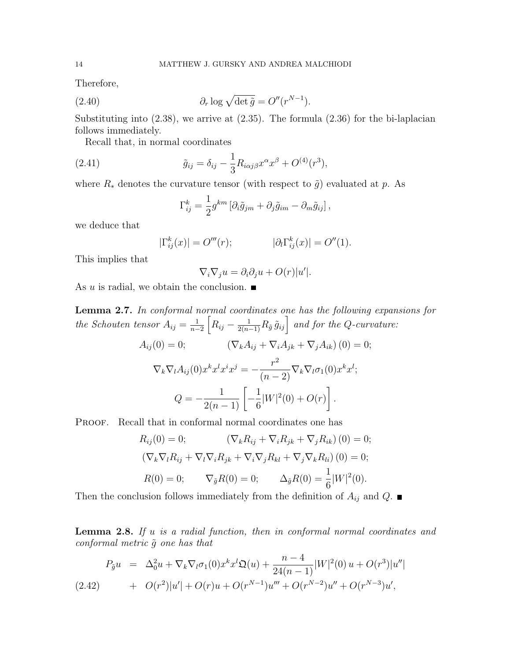Therefore,

(2.40) 
$$
\partial_r \log \sqrt{\det \tilde{g}} = O''(r^{N-1}).
$$

Substituting into (2.38), we arrive at (2.35). The formula (2.36) for the bi-laplacian follows immediately.

Recall that, in normal coordinates

(2.41) 
$$
\tilde{g}_{ij} = \delta_{ij} - \frac{1}{3} R_{i\alpha j\beta} x^{\alpha} x^{\beta} + O^{(4)}(r^3),
$$

where  $R_*$  denotes the curvature tensor (with respect to  $\tilde{g}$ ) evaluated at p. As

$$
\Gamma_{ij}^k = \frac{1}{2} g^{km} \left[ \partial_i \tilde{g}_{jm} + \partial_j \tilde{g}_{im} - \partial_m \tilde{g}_{ij} \right],
$$

we deduce that

$$
|\Gamma_{ij}^k(x)| = O'''(r); \qquad |\partial_l \Gamma_{ij}^k(x)| = O''(1).
$$

This implies that

$$
\nabla_i \nabla_j u = \partial_i \partial_j u + O(r) |u'|.
$$

As u is radial, we obtain the conclusion.  $\blacksquare$ 

Lemma 2.7. In conformal normal coordinates one has the following expansions for the Schouten tensor  $A_{ij} = \frac{1}{n-1}$  $\frac{1}{n-2}\left[R_{ij}-\frac{1}{2(n-1)}R_{\tilde{g}}\,\tilde{g}_{ij}\right]$  and for the Q-curvature:

$$
A_{ij}(0) = 0; \qquad (\nabla_k A_{ij} + \nabla_i A_{jk} + \nabla_j A_{ik}) (0) = 0; \n\nabla_k \nabla_l A_{ij}(0) x^k x^l x^i x^j = -\frac{r^2}{(n-2)} \nabla_k \nabla_l \sigma_1(0) x^k x^l; \nQ = -\frac{1}{2(n-1)} \left[ -\frac{1}{6} |W|^2(0) + O(r) \right].
$$

PROOF. Recall that in conformal normal coordinates one has

$$
R_{ij}(0) = 0; \qquad (\nabla_k R_{ij} + \nabla_i R_{jk} + \nabla_j R_{ik}) (0) = 0; (\nabla_k \nabla_l R_{ij} + \nabla_l \nabla_i R_{jk} + \nabla_i \nabla_j R_{kl} + \nabla_j \nabla_k R_{li}) (0) = 0; R(0) = 0; \qquad \nabla_{\tilde{g}} R(0) = 0; \qquad \Delta_{\tilde{g}} R(0) = \frac{1}{6} |W|^2(0).
$$

Then the conclusion follows immediately from the definition of  $A_{ij}$  and  $Q$ .

**Lemma 2.8.** If  $u$  is a radial function, then in conformal normal coordinates and conformal metric  $\tilde{g}$  one has that

$$
P_{\tilde{g}}u = \Delta_0^2 u + \nabla_k \nabla_l \sigma_1(0) x^k x^l \mathfrak{Q}(u) + \frac{n-4}{24(n-1)} |W|^2(0) u + O(r^3)|u''|
$$
  
(2.42) 
$$
+ O(r^2)|u'| + O(r)u + O(r^{N-1})u''' + O(r^{N-2})u'' + O(r^{N-3})u',
$$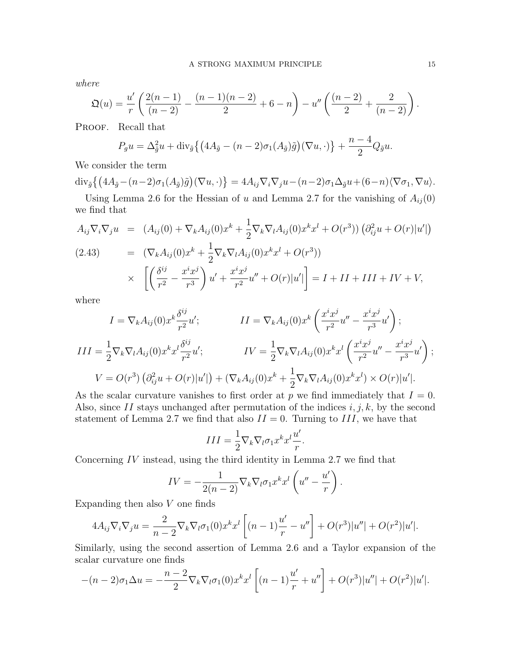where

$$
\mathfrak{Q}(u) = \frac{u'}{r} \left( \frac{2(n-1)}{(n-2)} - \frac{(n-1)(n-2)}{2} + 6 - n \right) - u'' \left( \frac{(n-2)}{2} + \frac{2}{(n-2)} \right).
$$

PROOF. Recall that

$$
P_g u = \Delta_{\tilde{g}}^2 u + \text{div}_{\tilde{g}} \left\{ \left( 4A_{\tilde{g}} - (n-2)\sigma_1(A_{\tilde{g}})\tilde{g} \right) (\nabla u, \cdot) \right\} + \frac{n-4}{2} Q_{\tilde{g}} u.
$$

We consider the term

$$
\operatorname{div}_{\tilde{g}}\left\{ \left( 4A_{\tilde{g}} - (n-2)\sigma_1(A_{\tilde{g}})\tilde{g} \right) (\nabla u, \cdot) \right\} = 4A_{ij}\nabla_i \nabla_j u - (n-2)\sigma_1 \Delta_{\tilde{g}} u + (6-n)\langle \nabla \sigma_1, \nabla u \rangle.
$$

Using Lemma 2.6 for the Hessian of u and Lemma 2.7 for the vanishing of  $A_{ij}(0)$ we find that  $\overline{1}$ 

$$
A_{ij}\nabla_i\nabla_j u = (A_{ij}(0) + \nabla_k A_{ij}(0)x^k + \frac{1}{2}\nabla_k \nabla_l A_{ij}(0)x^k x^l + O(r^3)) \left(\partial_{ij}^2 u + O(r)|u'|\right)
$$
  
(2.43) 
$$
= (\nabla_k A_{ij}(0)x^k + \frac{1}{2}\nabla_k \nabla_l A_{ij}(0)x^k x^l + O(r^3))
$$

$$
\times \left[ \left(\frac{\delta^{ij}}{r^2} - \frac{x^i x^j}{r^3}\right)u' + \frac{x^i x^j}{r^2}u'' + O(r)|u'|\right] = I + II + III + IV + V,
$$

where

$$
I = \nabla_k A_{ij}(0) x^k \frac{\delta^{ij}}{r^2} u'; \qquad II = \nabla_k A_{ij}(0) x^k \left( \frac{x^i x^j}{r^2} u'' - \frac{x^i x^j}{r^3} u' \right);
$$
  
\n
$$
III = \frac{1}{2} \nabla_k \nabla_l A_{ij}(0) x^k x^l \frac{\delta^{ij}}{r^2} u'; \qquad IV = \frac{1}{2} \nabla_k \nabla_l A_{ij}(0) x^k x^l \left( \frac{x^i x^j}{r^2} u'' - \frac{x^i x^j}{r^3} u' \right);
$$
  
\n
$$
V = O(r^3) \left( \partial_{ij}^2 u + O(r) |u'| \right) + \left( \nabla_k A_{ij}(0) x^k + \frac{1}{2} \nabla_k \nabla_l A_{ij}(0) x^k x^l \right) \times O(r) |u'|.
$$

As the scalar curvature vanishes to first order at p we find immediately that  $I = 0$ . Also, since II stays unchanged after permutation of the indices  $i, j, k$ , by the second statement of Lemma 2.7 we find that also  $II = 0$ . Turning to  $III$ , we have that

$$
III = \frac{1}{2} \nabla_k \nabla_l \sigma_1 x^k x^l \frac{u'}{r}.
$$

Concerning  $IV$  instead, using the third identity in Lemma 2.7 we find that

$$
IV = -\frac{1}{2(n-2)} \nabla_k \nabla_l \sigma_1 x^k x^l \left( u'' - \frac{u'}{r} \right).
$$

Expanding then also  $V$  one finds

$$
4A_{ij}\nabla_i\nabla_j u = \frac{2}{n-2}\nabla_k\nabla_l\sigma_1(0)x^k x^l \left[ (n-1)\frac{u'}{r} - u'' \right] + O(r^3)|u''| + O(r^2)|u'|.
$$

Similarly, using the second assertion of Lemma 2.6 and a Taylor expansion of the scalar curvature one finds

$$
-(n-2)\sigma_1\Delta u = -\frac{n-2}{2}\nabla_k\nabla_l\sigma_1(0)x^k x^l \left[ (n-1)\frac{u'}{r} + u'' \right] + O(r^3)|u''| + O(r^2)|u'|.
$$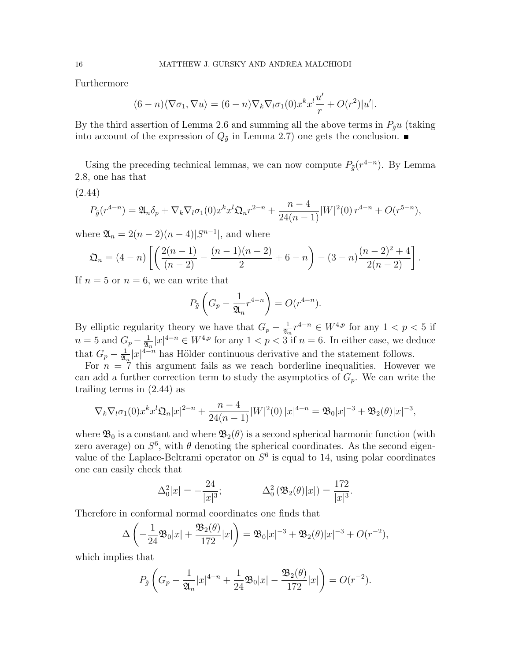Furthermore

$$
(6-n)\langle \nabla \sigma_1, \nabla u \rangle = (6-n)\nabla_k \nabla_l \sigma_1(0) x^k x^l \frac{u'}{r} + O(r^2)|u'|.
$$

By the third assertion of Lemma 2.6 and summing all the above terms in  $P_{\tilde{g}} u$  (taking into account of the expression of  $Q_{\tilde{g}}$  in Lemma 2.7) one gets the conclusion.

Using the preceding technical lemmas, we can now compute  $P_{\tilde{g}}(r^{4-n})$ . By Lemma 2.8, one has that

(2.44)

$$
P_{\tilde{g}}(r^{4-n}) = \mathfrak{A}_n \delta_p + \nabla_k \nabla_l \sigma_1(0) x^k x^l \mathfrak{Q}_n r^{2-n} + \frac{n-4}{24(n-1)} |W|^2(0) r^{4-n} + O(r^{5-n}),
$$

where  $\mathfrak{A}_n = 2(n-2)(n-4)|S^{n-1}|$ , and where

$$
\mathfrak{Q}_n = (4-n) \left[ \left( \frac{2(n-1)}{(n-2)} - \frac{(n-1)(n-2)}{2} + 6 - n \right) - (3-n) \frac{(n-2)^2 + 4}{2(n-2)} \right].
$$

If  $n = 5$  or  $n = 6$ , we can write that

$$
P_{\tilde{g}}\left(G_p - \frac{1}{\mathfrak{A}_n}r^{4-n}\right) = O(r^{4-n}).
$$

By elliptic regularity theory we have that  $G_p - \frac{1}{2}$  $\frac{1}{\mathfrak{A}_n} r^{4-n} \in W^{4,p}$  for any  $1 < p < 5$  if  $n=5$  and  $G_p - \frac{1}{2}$  $\frac{1}{\mathfrak{A}_n}|x|^{4-n} \in W^{4,p}$  for any  $1 < p < 3$  if  $n = 6$ . In either case, we deduce that  $G_p - \frac{1}{2l_a}$  $\frac{1}{2\pi}|x|^{4-n}$  has Hölder continuous derivative and the statement follows.

For  $n = 7$  this argument fails as we reach borderline inequalities. However we can add a further correction term to study the asymptotics of  $G_p$ . We can write the trailing terms in (2.44) as

$$
\nabla_k \nabla_l \sigma_1(0) x^k x^l \mathfrak{Q}_n |x|^{2-n} + \frac{n-4}{24(n-1)} |W|^2(0) |x|^{4-n} = \mathfrak{B}_0 |x|^{-3} + \mathfrak{B}_2(\theta) |x|^{-3},
$$

where  $\mathfrak{B}_0$  is a constant and where  $\mathfrak{B}_2(\theta)$  is a second spherical harmonic function (with zero average) on  $S^6$ , with  $\theta$  denoting the spherical coordinates. As the second eigenvalue of the Laplace-Beltrami operator on  $S^6$  is equal to 14, using polar coordinates one can easily check that

$$
\Delta_0^2 |x| = -\frac{24}{|x|^3}; \qquad \Delta_0^2 (\mathfrak{B}_2(\theta)|x|) = \frac{172}{|x|^3}.
$$

Therefore in conformal normal coordinates one finds that

$$
\Delta \left( -\frac{1}{24} \mathfrak{B}_0 |x| + \frac{\mathfrak{B}_2(\theta)}{172} |x| \right) = \mathfrak{B}_0 |x|^{-3} + \mathfrak{B}_2(\theta) |x|^{-3} + O(r^{-2}),
$$

which implies that

$$
P_{\tilde{g}}\left(G_p - \frac{1}{\mathfrak{A}_n}|x|^{4-n} + \frac{1}{24}\mathfrak{B}_0|x| - \frac{\mathfrak{B}_2(\theta)}{172}|x|\right) = O(r^{-2}).
$$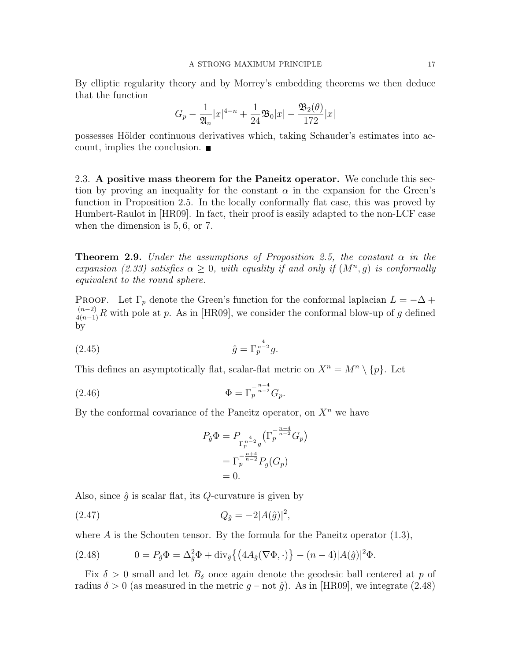By elliptic regularity theory and by Morrey's embedding theorems we then deduce that the function

$$
G_p - \frac{1}{2\mu} |x|^{4-n} + \frac{1}{24} \mathfrak{B}_0 |x| - \frac{\mathfrak{B}_2(\theta)}{172} |x|
$$

possesses Hölder continuous derivatives which, taking Schauder's estimates into account, implies the conclusion.

2.3. A positive mass theorem for the Paneitz operator. We conclude this section by proving an inequality for the constant  $\alpha$  in the expansion for the Green's function in Proposition 2.5. In the locally conformally flat case, this was proved by Humbert-Raulot in [HR09]. In fact, their proof is easily adapted to the non-LCF case when the dimension is 5, 6, or 7.

**Theorem 2.9.** Under the assumptions of Proposition 2.5, the constant  $\alpha$  in the expansion (2.33) satisfies  $\alpha \geq 0$ , with equality if and only if  $(M^n, g)$  is conformally equivalent to the round sphere.

**PROOF.** Let  $\Gamma_p$  denote the Green's function for the conformal laplacian  $L = -\Delta +$  $\frac{(n-2)}{4(n-1)}R$  with pole at p. As in [HR09], we consider the conformal blow-up of g defined by

(2.45) 
$$
\hat{g} = \Gamma_p^{\frac{4}{n-2}} g.
$$

This defines an asymptotically flat, scalar-flat metric on  $X^n = M^n \setminus \{p\}$ . Let

$$
\Phi = \Gamma_p^{-\frac{n-4}{n-2}} G_p.
$$

By the conformal covariance of the Paneitz operator, on  $X^n$  we have

$$
P_{\hat{g}}\Phi = P_{\Gamma_p^{\frac{4}{n-2}}g}(\Gamma_p^{-\frac{n-4}{n-2}}G_p)
$$

$$
= \Gamma_p^{-\frac{n+4}{n-2}}P_g(G_p)
$$

$$
= 0.
$$

Also, since  $\hat{g}$  is scalar flat, its Q-curvature is given by

(2.47) 
$$
Q_{\hat{g}} = -2|A(\hat{g})|^2,
$$

where  $A$  is the Schouten tensor. By the formula for the Paneitz operator  $(1.3)$ ,

(2.48) 
$$
0 = P_{\hat{g}}\Phi = \Delta_{\hat{g}}^2 \Phi + \text{div}_{\hat{g}} \{ (4A_{\hat{g}}(\nabla \Phi, \cdot)) - (n-4)|A(\hat{g})|^2 \Phi.
$$

Fix  $\delta > 0$  small and let  $B_{\delta}$  once again denote the geodesic ball centered at p of radius  $\delta > 0$  (as measured in the metric  $g$  – not  $\hat{g}$ ). As in [HR09], we integrate (2.48)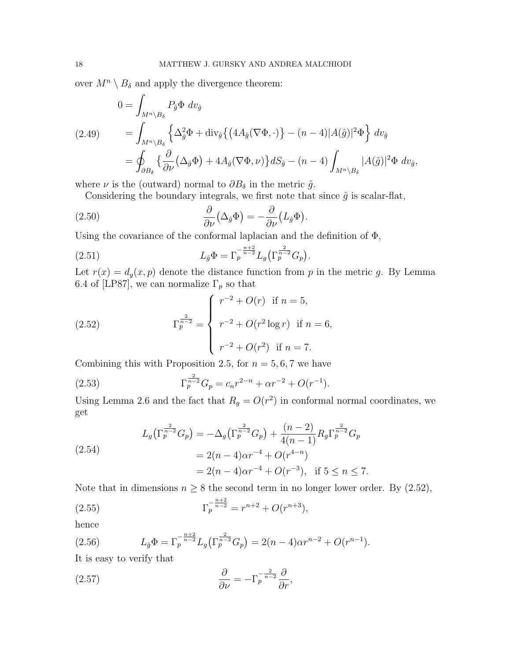over  $M^n \setminus B_\delta$  and apply the divergence theorem:

$$
\begin{split}\n0 &= \int_{M^n \setminus B_\delta} P_{\hat{g}} \Phi \, dv_{\hat{g}} \\
&= \int_{M^n \setminus B_\delta} \left\{ \Delta_{\hat{g}}^2 \Phi + \text{div}_{\hat{g}} \left\{ (4A_{\hat{g}}(\nabla \Phi, \cdot) \right\} - (n-4)|A(\hat{g})|^2 \Phi \right\} \, dv_{\hat{g}} \\
&= \oint_{\partial B_\delta} \left\{ \frac{\partial}{\partial \nu} (\Delta_{\hat{g}} \Phi) + 4A_{\hat{g}}(\nabla \Phi, \nu) \right\} dS_{\hat{g}} - (n-4) \int_{M^n \setminus B_\delta} |A(\hat{g})|^2 \Phi \, dv_{\hat{g}},\n\end{split}
$$

where  $\nu$  is the (outward) normal to  $\partial B_{\delta}$  in the metric  $\hat{g}$ .

Considering the boundary integrals, we first note that since  $\hat{g}$  is scalar-flat,

(2.50) 
$$
\frac{\partial}{\partial \nu} (\Delta_{\hat{g}} \Phi) = -\frac{\partial}{\partial \nu} (L_{\hat{g}} \Phi).
$$

Using the covariance of the conformal laplacian and the definition of  $\Phi$ ,

(2.51) 
$$
L_{\hat{g}}\Phi = \Gamma_p^{-\frac{n+2}{n-2}} L_g(\Gamma_p^{\frac{2}{n-2}} G_p).
$$

Let  $r(x) = d_g(x, p)$  denote the distance function from p in the metric g. By Lemma 6.4 of [LP87], we can normalize  $\Gamma_p$  so that

(2.52) 
$$
\Gamma_p^{\frac{2}{n-2}} = \begin{cases} r^{-2} + O(r) & \text{if } n = 5, \\ r^{-2} + O(r^2 \log r) & \text{if } n = 6, \\ r^{-2} + O(r^2) & \text{if } n = 7. \end{cases}
$$

Combining this with Proposition 2.5, for  $n = 5, 6, 7$  we have

(2.53) 
$$
\Gamma_p^{\frac{2}{n-2}} G_p = c_n r^{2-n} + \alpha r^{-2} + O(r^{-1}).
$$

Using Lemma 2.6 and the fact that  $R_g = O(r^2)$  in conformal normal coordinates, we get

$$
L_g\left(\Gamma_p^{\frac{2}{n-2}}G_p\right) = -\Delta_g\left(\Gamma_p^{\frac{2}{n-2}}G_p\right) + \frac{(n-2)}{4(n-1)}R_g\Gamma_p^{\frac{2}{n-2}}G_p
$$
  
= 2(n-4)\alpha r^{-4} + O(r^{4-n})  
= 2(n-4)\alpha r^{-4} + O(r^{-3}), if 5 \le n \le 7.

Note that in dimensions  $n \geq 8$  the second term in no longer lower order. By (2.52),

(2.55) 
$$
\Gamma_p^{-\frac{n+2}{n-2}} = r^{n+2} + O(r^{n+3}),
$$

hence

(2.56) 
$$
L_{\hat{g}}\Phi = \Gamma_p^{-\frac{n+2}{n-2}}L_g(\Gamma_p^{\frac{2}{n-2}}G_p) = 2(n-4)\alpha r^{n-2} + O(r^{n-1}).
$$

It is easy to verify that

(2.57) 
$$
\frac{\partial}{\partial \nu} = -\Gamma_p^{-\frac{2}{n-2}} \frac{\partial}{\partial r},
$$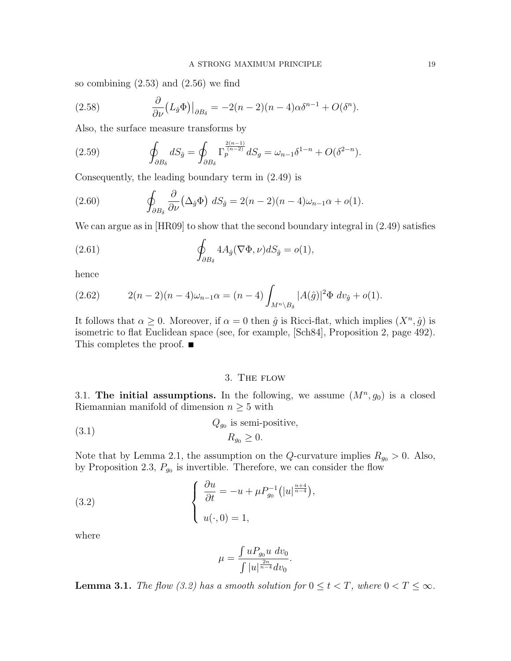so combining  $(2.53)$  and  $(2.56)$  we find

(2.58) 
$$
\frac{\partial}{\partial \nu} (L_{\hat{g}} \Phi)|_{\partial B_{\delta}} = -2(n-2)(n-4)\alpha \delta^{n-1} + O(\delta^n).
$$

Also, the surface measure transforms by

(2.59) 
$$
\oint_{\partial B_{\delta}} dS_{\hat{g}} = \oint_{\partial B_{\delta}} \Gamma_p^{\frac{2(n-1)}{(n-2)}} dS_g = \omega_{n-1} \delta^{1-n} + O(\delta^{2-n}).
$$

Consequently, the leading boundary term in (2.49) is

(2.60) 
$$
\oint_{\partial B_{\delta}} \frac{\partial}{\partial \nu} (\Delta_{\hat{g}} \Phi) dS_{\hat{g}} = 2(n-2)(n-4)\omega_{n-1}\alpha + o(1).
$$

We can argue as in [HR09] to show that the second boundary integral in  $(2.49)$  satisfies

(2.61) 
$$
\oint_{\partial B_{\delta}} 4A_{\hat{g}}(\nabla \Phi, \nu) dS_{\hat{g}} = o(1),
$$

hence

(2.62) 
$$
2(n-2)(n-4)\omega_{n-1}\alpha = (n-4)\int_{M^n\setminus B_\delta} |A(\hat{g})|^2 \Phi \, dv_{\hat{g}} + o(1).
$$

It follows that  $\alpha \geq 0$ . Moreover, if  $\alpha = 0$  then  $\hat{g}$  is Ricci-flat, which implies  $(X^n, \hat{g})$  is isometric to flat Euclidean space (see, for example, [Sch84], Proposition 2, page 492). This completes the proof.  $\blacksquare$ 

## 3. The flow

3.1. The initial assumptions. In the following, we assume  $(M^n, g_0)$  is a closed Riemannian manifold of dimension  $n \geq 5$  with

(3.1) 
$$
Q_{g_0}
$$
 is semi-positive,  
 $R_{g_0} \ge 0$ .

Note that by Lemma 2.1, the assumption on the Q-curvature implies  $R_{g_0} > 0$ . Also, by Proposition 2.3,  $P_{g_0}$  is invertible. Therefore, we can consider the flow

(3.2) 
$$
\begin{cases} \frac{\partial u}{\partial t} = -u + \mu P_{g_0}^{-1} (|u|^{\frac{n+4}{n-4}}), \\ u(\cdot, 0) = 1, \end{cases}
$$

where

$$
\mu = \frac{\int u P_{g_0} u \, dv_0}{\int |u|^{\frac{2n}{n-4}} dv_0}.
$$

**Lemma 3.1.** The flow (3.2) has a smooth solution for  $0 \le t < T$ , where  $0 < T \le \infty$ .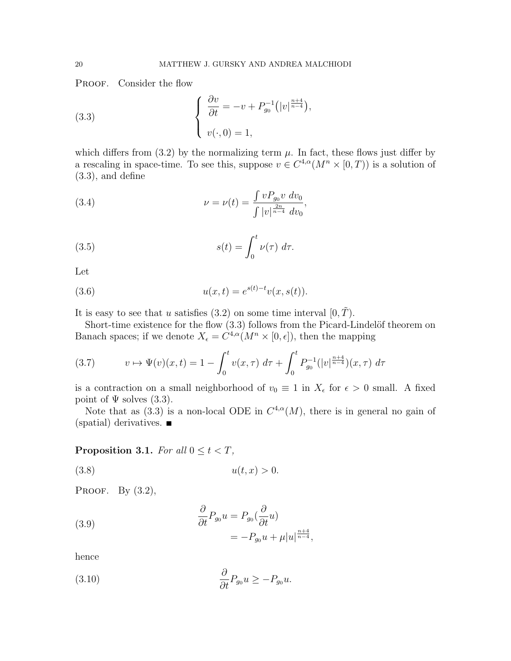PROOF. Consider the flow

(3.3) 
$$
\begin{cases} \frac{\partial v}{\partial t} = -v + P_{g_0}^{-1}(|v|^{\frac{n+4}{n-4}}), \\ v(\cdot, 0) = 1, \end{cases}
$$

which differs from  $(3.2)$  by the normalizing term  $\mu$ . In fact, these flows just differ by a rescaling in space-time. To see this, suppose  $v \in C^{4,\alpha}(M^n \times [0,T))$  is a solution of  $(3.3)$ , and define

(3.4) 
$$
\nu = \nu(t) = \frac{\int v P_{g_0} v \, dv_0}{\int |v|^{\frac{2n}{n-4}} \, dv_0},
$$

(3.5) 
$$
s(t) = \int_0^t \nu(\tau) d\tau.
$$

Let

(3.6) 
$$
u(x,t) = e^{s(t)-t}v(x,s(t)).
$$

It is easy to see that u satisfies (3.2) on some time interval  $[0, \tilde{T})$ .

Short-time existence for the flow  $(3.3)$  follows from the Picard-Lindelöf theorem on Banach spaces; if we denote  $X_{\epsilon} = C^{4,\alpha}(M^n \times [0,\epsilon])$ , then the mapping

$$
(3.7) \t v \mapsto \Psi(v)(x,t) = 1 - \int_0^t v(x,\tau) \, d\tau + \int_0^t P_{g_0}^{-1}(|v|^{\frac{n+4}{n-4}})(x,\tau) \, d\tau
$$

is a contraction on a small neighborhood of  $v_0 \equiv 1$  in  $X_{\epsilon}$  for  $\epsilon > 0$  small. A fixed point of  $\Psi$  solves (3.3).

Note that as (3.3) is a non-local ODE in  $C^{4,\alpha}(M)$ , there is in general no gain of  $(s$ patial) derivatives.

# Proposition 3.1. For all  $0 \le t < T$ ,

$$
(3.8) \t\t u(t,x) > 0.
$$

PROOF. By  $(3.2)$ ,

(3.9) 
$$
\begin{aligned}\n\frac{\partial}{\partial t} P_{g_0} u &= P_{g_0} \left( \frac{\partial}{\partial t} u \right) \\
&= -P_{g_0} u + \mu |u|^{\frac{n+4}{n-4}},\n\end{aligned}
$$

hence

(3.10) 
$$
\frac{\partial}{\partial t} P_{g_0} u \ge -P_{g_0} u.
$$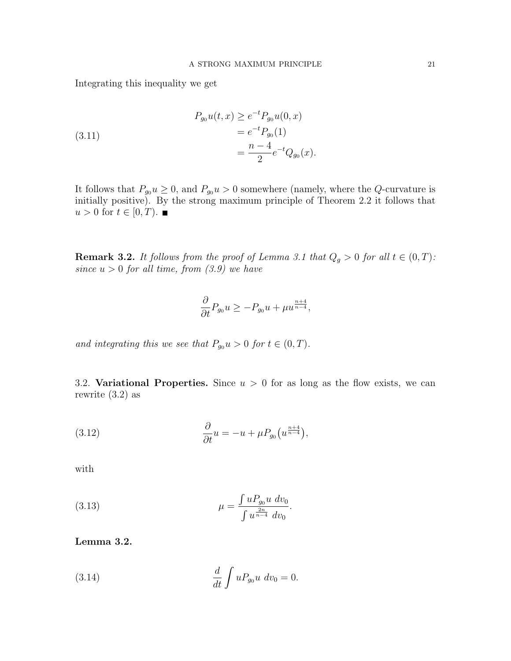Integrating this inequality we get

(3.11)  
\n
$$
P_{g_0}u(t,x) \ge e^{-t}P_{g_0}u(0,x)
$$
\n
$$
= e^{-t}P_{g_0}(1)
$$
\n
$$
= \frac{n-4}{2}e^{-t}Q_{g_0}(x).
$$

It follows that  $P_{g_0} u \geq 0$ , and  $P_{g_0} u > 0$  somewhere (namely, where the Q-curvature is initially positive). By the strong maximum principle of Theorem 2.2 it follows that  $u > 0$  for  $t \in [0, T)$ .

**Remark 3.2.** It follows from the proof of Lemma 3.1 that  $Q_g > 0$  for all  $t \in (0, T)$ : since  $u > 0$  for all time, from  $(3.9)$  we have

$$
\frac{\partial}{\partial t}P_{g_0}u \ge -P_{g_0}u + \mu u^{\frac{n+4}{n-4}},
$$

and integrating this we see that  $P_{g_0} u > 0$  for  $t \in (0, T)$ .

3.2. Variational Properties. Since  $u > 0$  for as long as the flow exists, we can rewrite  $(3.2)$  as

(3.12) 
$$
\frac{\partial}{\partial t}u = -u + \mu P_{g_0}\left(u^{\frac{n+4}{n-4}}\right),
$$

with

(3.13) 
$$
\mu = \frac{\int u P_{g_0} u \, dv_0}{\int u^{\frac{2n}{n-4}} \, dv_0}.
$$

Lemma 3.2.

(3.14) 
$$
\frac{d}{dt} \int u P_{g_0} u \, dv_0 = 0.
$$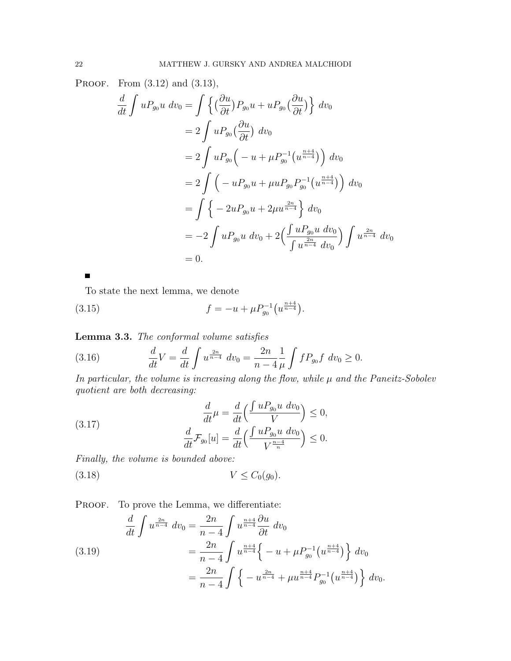PROOF. From  $(3.12)$  and  $(3.13)$ ,

$$
\frac{d}{dt} \int u P_{g_0} u \, dv_0 = \int \left\{ \left( \frac{\partial u}{\partial t} \right) P_{g_0} u + u P_{g_0} \left( \frac{\partial u}{\partial t} \right) \right\} dv_0
$$
\n
$$
= 2 \int u P_{g_0} \left( \frac{\partial u}{\partial t} \right) dv_0
$$
\n
$$
= 2 \int u P_{g_0} \left( -u + \mu P_{g_0}^{-1} \left( u^{\frac{n+4}{n-4}} \right) \right) dv_0
$$
\n
$$
= 2 \int \left( -u P_{g_0} u + \mu u P_{g_0} P_{g_0}^{-1} \left( u^{\frac{n+4}{n-4}} \right) \right) dv_0
$$
\n
$$
= \int \left\{ -2u P_{g_0} u + 2\mu u^{\frac{2n}{n-4}} \right\} dv_0
$$
\n
$$
= -2 \int u P_{g_0} u \, dv_0 + 2 \left( \frac{\int u P_{g_0} u \, dv_0}{\int u^{\frac{2n}{n-4}} \, dv_0} \right) \int u^{\frac{2n}{n-4}} \, dv_0
$$
\n
$$
= 0.
$$

To state the next lemma, we denote

(3.15) 
$$
f = -u + \mu P_{g_0}^{-1} (u^{\frac{n+4}{n-4}}).
$$

Lemma 3.3. The conformal volume satisfies

(3.16) 
$$
\frac{d}{dt}V = \frac{d}{dt}\int u^{\frac{2n}{n-4}} dv_0 = \frac{2n}{n-4}\frac{1}{\mu}\int f P_{g_0}f dv_0 \ge 0.
$$

In particular, the volume is increasing along the flow, while  $\mu$  and the Paneitz-Sobolev quotient are both decreasing:

(3.17) 
$$
\frac{d}{dt}\mu = \frac{d}{dt}\left(\frac{\int uP_{g_0}u \, dv_0}{V}\right) \le 0,
$$

$$
\frac{d}{dt}\mathcal{F}_{g_0}[u] = \frac{d}{dt}\left(\frac{\int uP_{g_0}u \, dv_0}{V^{\frac{n-4}{n}}}\right) \le 0.
$$

Finally, the volume is bounded above:

(3.18)  $V \leq C_0(g_0).$ 

PROOF. To prove the Lemma, we differentiate:

(3.19) 
$$
\frac{d}{dt} \int u^{\frac{2n}{n-4}} dv_0 = \frac{2n}{n-4} \int u^{\frac{n+4}{n-4}} \frac{\partial u}{\partial t} dv_0
$$

$$
= \frac{2n}{n-4} \int u^{\frac{n+4}{n-4}} \left\{ -u + \mu P_{g_0}^{-1} (u^{\frac{n+4}{n-4}}) \right\} dv_0
$$

$$
= \frac{2n}{n-4} \int \left\{ -u^{\frac{2n}{n-4}} + \mu u^{\frac{n+4}{n-4}} P_{g_0}^{-1} (u^{\frac{n+4}{n-4}}) \right\} dv_0.
$$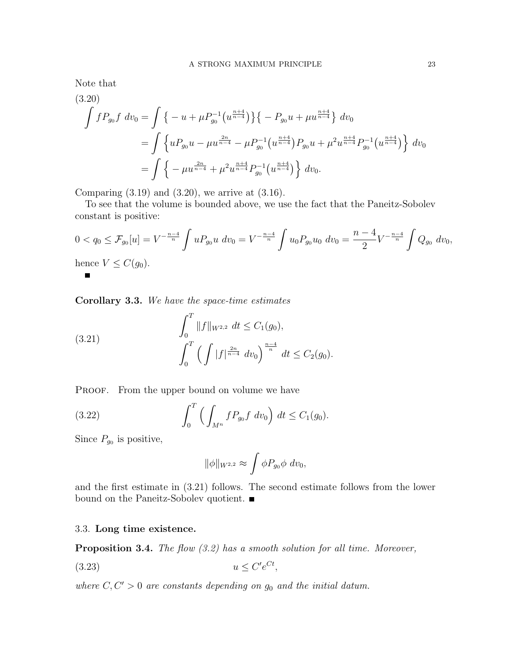Note that

$$
(3.20)
$$
\n
$$
\int f P_{g_0} f dv_0 = \int \left\{ -u + \mu P_{g_0}^{-1} (u^{\frac{n+4}{n-4}}) \right\} \left\{ -P_{g_0} u + \mu u^{\frac{n+4}{n-4}} \right\} dv_0
$$
\n
$$
= \int \left\{ u P_{g_0} u - \mu u^{\frac{2n}{n-4}} - \mu P_{g_0}^{-1} (u^{\frac{n+4}{n-4}}) P_{g_0} u + \mu^2 u^{\frac{n+4}{n-4}} P_{g_0}^{-1} (u^{\frac{n+4}{n-4}}) \right\} dv_0
$$
\n
$$
= \int \left\{ -\mu u^{\frac{2n}{n-4}} + \mu^2 u^{\frac{n+4}{n-4}} P_{g_0}^{-1} (u^{\frac{n+4}{n-4}}) \right\} dv_0.
$$

Comparing  $(3.19)$  and  $(3.20)$ , we arrive at  $(3.16)$ .

To see that the volume is bounded above, we use the fact that the Paneitz-Sobolev constant is positive:

$$
0 < q_0 \le \mathcal{F}_{g_0}[u] = V^{-\frac{n-4}{n}} \int u P_{g_0} u \, dv_0 = V^{-\frac{n-4}{n}} \int u_0 P_{g_0} u_0 \, dv_0 = \frac{n-4}{2} V^{-\frac{n-4}{n}} \int Q_{g_0} \, dv_0,
$$
\nhence  $V \le C(g_0)$ .

Corollary 3.3. We have the space-time estimates

(3.21) 
$$
\int_0^T \|f\|_{W^{2,2}} dt \le C_1(g_0),
$$

$$
\int_0^T \left(\int |f|^{\frac{2n}{n-4}} dv_0\right)^{\frac{n-4}{n}} dt \le C_2(g_0).
$$

PROOF. From the upper bound on volume we have

(3.22) 
$$
\int_0^T \left( \int_{M^n} f P_{g_0} f \, dv_0 \right) dt \le C_1(g_0).
$$

Since  $P_{g_0}$  is positive,

$$
\|\phi\|_{W^{2,2}} \approx \int \phi P_{g_0} \phi \ dv_0,
$$

and the first estimate in (3.21) follows. The second estimate follows from the lower bound on the Paneitz-Sobolev quotient.

## 3.3. Long time existence.

**Proposition 3.4.** The flow (3.2) has a smooth solution for all time. Moreover,

$$
(3.23) \t\t u \le C'e^{Ct},
$$

where  $C, C' > 0$  are constants depending on  $g_0$  and the initial datum.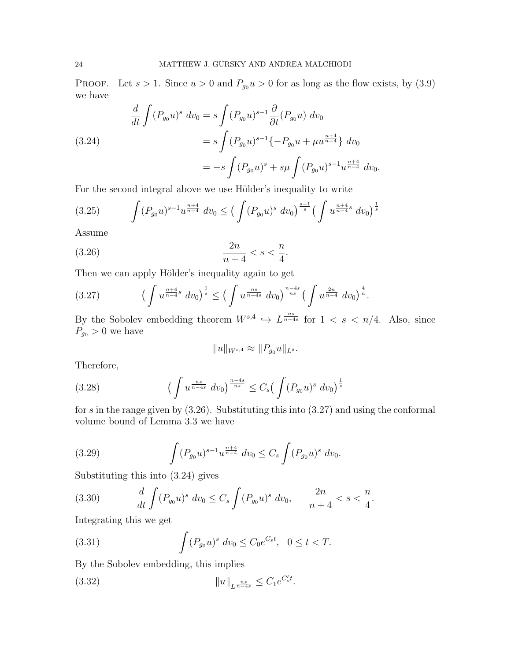PROOF. Let  $s > 1$ . Since  $u > 0$  and  $P_{g_0} u > 0$  for as long as the flow exists, by (3.9) we have

(3.24) 
$$
\frac{d}{dt} \int (P_{g_0} u)^s dv_0 = s \int (P_{g_0} u)^{s-1} \frac{\partial}{\partial t} (P_{g_0} u) dv_0
$$

$$
= s \int (P_{g_0} u)^{s-1} \{-P_{g_0} u + \mu u^{\frac{n+4}{n-4}} \} dv_0
$$

$$
= -s \int (P_{g_0} u)^s + s \mu \int (P_{g_0} u)^{s-1} u^{\frac{n+4}{n-4}} dv_0.
$$

For the second integral above we use Hölder's inequality to write

$$
(3.25) \qquad \int (P_{g_0}u)^{s-1}u^{\frac{n+4}{n-4}}\,dv_0 \le \left(\int (P_{g_0}u)^s\,dv_0\right)^{\frac{s-1}{s}} \left(\int u^{\frac{n+4}{n-4}s}\,dv_0\right)^{\frac{1}{s}}
$$

Assume

(3.26) 
$$
\frac{2n}{n+4} < s < \frac{n}{4}.
$$

Then we can apply Hölder's inequality again to get

$$
(3.27) \qquad \left(\int u^{\frac{n+4}{n-4}s} dv_0\right)^{\frac{1}{s}} \le \left(\int u^{\frac{ns}{n-4s}} dv_0\right)^{\frac{n-4s}{ns}} \left(\int u^{\frac{2n}{n-4}} dv_0\right)^{\frac{4}{n}}.
$$

By the Sobolev embedding theorem  $W^{s,4} \hookrightarrow L^{\frac{ns}{n-4s}}$  for  $1 < s < n/4$ . Also, since  $P_{g_0} > 0$  we have

$$
||u||_{W^{s,4}} \approx ||P_{g_0}u||_{L^s}.
$$

Therefore,

(3.28) 
$$
\left(\int u^{\frac{ns}{n-4s}} dv_0\right)^{\frac{n-4s}{ns}} \leq C_s \left(\int (P_{g_0}u)^s dv_0\right)^{\frac{1}{s}}
$$

for s in the range given by (3.26). Substituting this into (3.27) and using the conformal volume bound of Lemma 3.3 we have

(3.29) 
$$
\int (P_{g_0}u)^{s-1}u^{\frac{n+4}{n-4}} dv_0 \leq C_s \int (P_{g_0}u)^s dv_0.
$$

Substituting this into (3.24) gives

(3.30) 
$$
\frac{d}{dt}\int (P_{g_0}u)^s dv_0 \leq C_s \int (P_{g_0}u)^s dv_0, \qquad \frac{2n}{n+4} < s < \frac{n}{4}.
$$

Integrating this we get

(3.31) 
$$
\int (P_{g_0}u)^s dv_0 \leq C_0 e^{C_s t}, \quad 0 \leq t < T.
$$

By the Sobolev embedding, this implies

(3.32) 
$$
||u||_{L^{\frac{ns}{n-4s}}} \leq C_1 e^{C'_s t}.
$$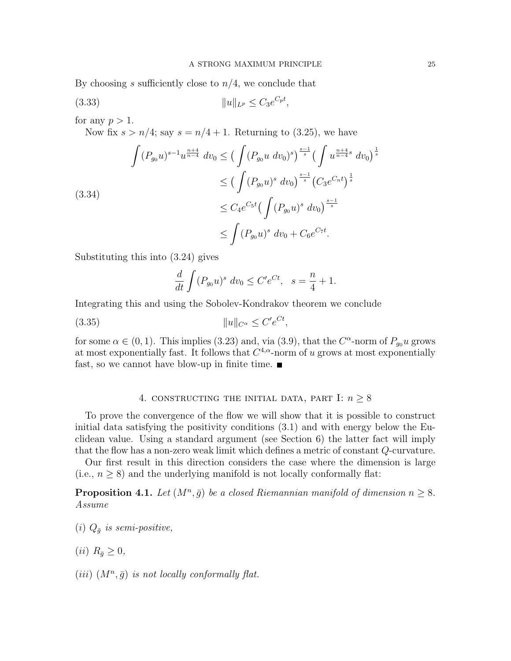By choosing s sufficiently close to  $n/4$ , we conclude that

kukL<sup>p</sup> ≤ C3e Cpt (3.33) ,

for any  $p > 1$ .

Now fix  $s > n/4$ ; say  $s = n/4 + 1$ . Returning to (3.25), we have

$$
\int (P_{g_0}u)^{s-1}u^{\frac{n+4}{n-4}} dv_0 \le \left(\int (P_{g_0}u dv_0)^s\right)^{\frac{s-1}{s}} \left(\int u^{\frac{n+4}{n-4}s} dv_0\right)^{\frac{1}{s}}
$$
\n
$$
\le \left(\int (P_{g_0}u)^s dv_0\right)^{\frac{s-1}{s}} \left(C_3e^{C_n t}\right)^{\frac{1}{s}}
$$
\n
$$
\le C_4e^{C_5 t} \left(\int (P_{g_0}u)^s dv_0\right)^{\frac{s-1}{s}}
$$
\n
$$
\le \int (P_{g_0}u)^s dv_0 + C_6e^{C_7 t}.
$$

Substituting this into (3.24) gives

$$
\frac{d}{dt} \int (P_{g_0} u)^s \, dv_0 \le C' e^{Ct}, \quad s = \frac{n}{4} + 1.
$$

Integrating this and using the Sobolev-Kondrakov theorem we conclude

kukC<sup>α</sup> ≤ C 0 e Ct (3.35) ,

for some  $\alpha \in (0, 1)$ . This implies (3.23) and, via (3.9), that the  $C^{\alpha}$ -norm of  $P_{g_0}u$  grows at most exponentially fast. It follows that  $C^{4,\alpha}$ -norm of u grows at most exponentially fast, so we cannot have blow-up in finite time.  $\blacksquare$ 

# 4. CONSTRUCTING THE INITIAL DATA, PART I:  $n \geq 8$

To prove the convergence of the flow we will show that it is possible to construct initial data satisfying the positivity conditions (3.1) and with energy below the Euclidean value. Using a standard argument (see Section 6) the latter fact will imply that the flow has a non-zero weak limit which defines a metric of constant Q-curvature.

Our first result in this direction considers the case where the dimension is large (i.e.,  $n \geq 8$ ) and the underlying manifold is not locally conformally flat:

**Proposition 4.1.** Let  $(M^n, \bar{g})$  be a closed Riemannian manifold of dimension  $n \geq 8$ . Assume

- (i)  $Q_{\bar{g}}$  is semi-positive,
- (*ii*)  $R_{\bar{q}} \geq 0$ ,
- (iii)  $(M^n, \bar{g})$  is not locally conformally flat.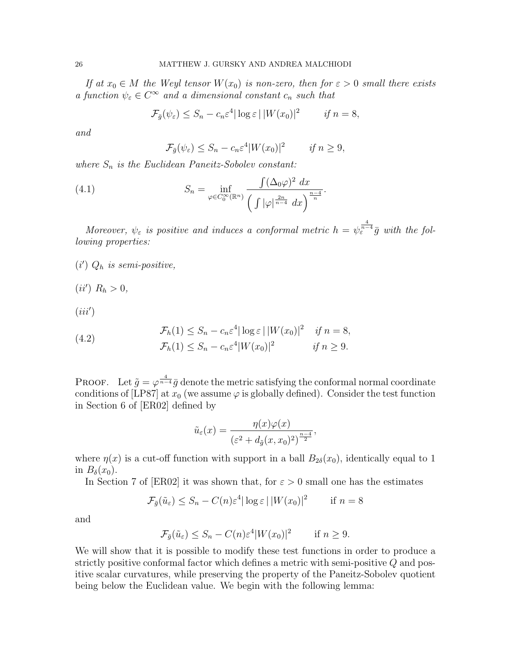If at  $x_0 \in M$  the Weyl tensor  $W(x_0)$  is non-zero, then for  $\varepsilon > 0$  small there exists a function  $\psi_{\varepsilon} \in C^{\infty}$  and a dimensional constant  $c_n$  such that

$$
\mathcal{F}_{\bar{g}}(\psi_{\varepsilon}) \le S_n - c_n \varepsilon^4 |\log \varepsilon| \, |W(x_0)|^2 \qquad \text{if } n = 8,
$$

and

$$
\mathcal{F}_{\bar{g}}(\psi_{\varepsilon}) \le S_n - c_n \varepsilon^4 |W(x_0)|^2 \qquad \text{if } n \ge 9,
$$

where  $S_n$  is the Euclidean Paneitz-Sobolev constant:

(4.1) 
$$
S_n = \inf_{\varphi \in C_0^{\infty}(\mathbb{R}^n)} \frac{\int (\Delta_0 \varphi)^2 dx}{\left(\int |\varphi|^{\frac{2n}{n-4}} dx\right)^{\frac{n-4}{n}}}.
$$

Moreover,  $\psi_{\varepsilon}$  is positive and induces a conformal metric  $h = \psi_{\varepsilon}^{\frac{4}{n-4}} \bar{g}$  with the following properties:

- $(i') Q_h$  is semi-positive,
- $(ii') R_h > 0,$

 $(iii')$ 

(4.2) 
$$
\mathcal{F}_h(1) \leq S_n - c_n \varepsilon^4 |\log \varepsilon| |W(x_0)|^2 \quad \text{if } n = 8,
$$

$$
\mathcal{F}_h(1) \leq S_n - c_n \varepsilon^4 |W(x_0)|^2 \quad \text{if } n \geq 9.
$$

**PROOF.** Let  $\tilde{g} = \varphi^{\frac{4}{n-4}} \bar{g}$  denote the metric satisfying the conformal normal coordinate conditions of [LP87] at  $x_0$  (we assume  $\varphi$  is globally defined). Consider the test function in Section 6 of [ER02] defined by

$$
\tilde{u}_{\varepsilon}(x) = \frac{\eta(x)\varphi(x)}{\left(\varepsilon^2 + d_{\tilde{g}}(x, x_0)^2\right)^{\frac{n-4}{2}}},
$$

where  $\eta(x)$  is a cut-off function with support in a ball  $B_{2\delta}(x_0)$ , identically equal to 1 in  $B_\delta(x_0)$ .

In Section 7 of [ER02] it was shown that, for  $\varepsilon > 0$  small one has the estimates

$$
\mathcal{F}_{\bar{g}}(\tilde{u}_{\varepsilon}) \leq S_n - C(n)\varepsilon^4 |\log \varepsilon| |W(x_0)|^2 \qquad \text{if } n = 8
$$

and

$$
\mathcal{F}_{\bar{g}}(\tilde{u}_{\varepsilon}) \le S_n - C(n)\varepsilon^4 |W(x_0)|^2 \quad \text{if } n \ge 9.
$$

We will show that it is possible to modify these test functions in order to produce a strictly positive conformal factor which defines a metric with semi-positive Q and positive scalar curvatures, while preserving the property of the Paneitz-Sobolev quotient being below the Euclidean value. We begin with the following lemma: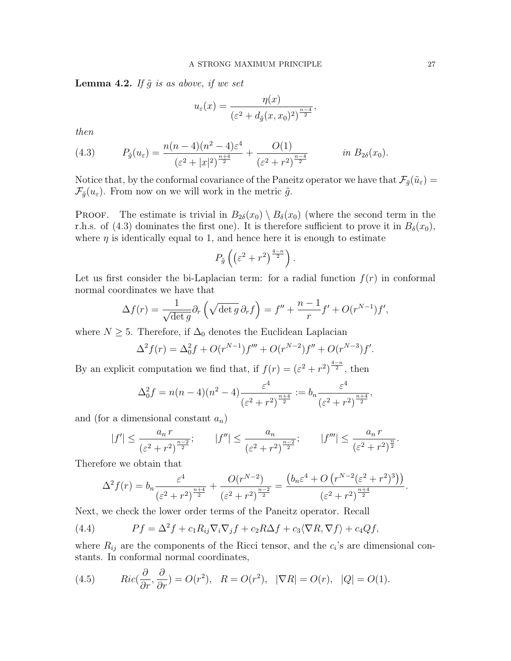**Lemma 4.2.** If  $\tilde{g}$  is as above, if we set

$$
u_{\varepsilon}(x) = \frac{\eta(x)}{\left(\varepsilon^2 + d_{\tilde{g}}(x, x_0)^2\right)^{\frac{n-4}{2}}},
$$

then

(4.3) 
$$
P_{\tilde{g}}(u_{\varepsilon}) = \frac{n(n-4)(n^2-4)\varepsilon^4}{(\varepsilon^2+|x|^2)^{\frac{n+4}{2}}} + \frac{O(1)}{(\varepsilon^2+r^2)^{\frac{n-4}{2}}} \qquad in B_{2\delta}(x_0).
$$

Notice that, by the conformal covariance of the Paneitz operator we have that  $\mathcal{F}_{\bar{q}}(\tilde{u}_{\varepsilon}) =$  $\mathcal{F}_{\tilde{g}}(u_{\varepsilon})$ . From now on we will work in the metric  $\tilde{g}$ .

**PROOF.** The estimate is trivial in  $B_{2\delta}(x_0) \setminus B_{\delta}(x_0)$  (where the second term in the r.h.s. of (4.3) dominates the first one). It is therefore sufficient to prove it in  $B_\delta(x_0)$ , where  $\eta$  is identically equal to 1, and hence here it is enough to estimate

$$
P_{\tilde{g}}\left(\left(\varepsilon^2+r^2\right)^{\frac{4-n}{2}}\right).
$$

Let us first consider the bi-Laplacian term: for a radial function  $f(r)$  in conformal normal coordinates we have that

$$
\Delta f(r) = \frac{1}{\sqrt{\det g}} \partial_r \left( \sqrt{\det g} \, \partial_r f \right) = f'' + \frac{n-1}{r} f' + O(r^{N-1}) f',
$$

where  $N \geq 5$ . Therefore, if  $\Delta_0$  denotes the Euclidean Laplacian

$$
\Delta^2 f(r) = \Delta_0^2 f + O(r^{N-1}) f''' + O(r^{N-2}) f'' + O(r^{N-3}) f'.
$$

By an explicit computation we find that, if  $f(r) = (\varepsilon^2 + r^2)^{\frac{4-n}{2}}$ , then

$$
\Delta_0^2 f = n(n-4)(n^2 - 4) \frac{\varepsilon^4}{(\varepsilon^2 + r^2)^{\frac{n+4}{2}}} := b_n \frac{\varepsilon^4}{(\varepsilon^2 + r^2)^{\frac{n+4}{2}}},
$$

and (for a dimensional constant  $a_n$ )

$$
|f'| \le \frac{a_n r}{(\varepsilon^2 + r^2)^{\frac{n-2}{2}}}; \qquad |f''| \le \frac{a_n}{(\varepsilon^2 + r^2)^{\frac{n-2}{2}}}; \qquad |f'''| \le \frac{a_n r}{(\varepsilon^2 + r^2)^{\frac{n}{2}}}.
$$

Therefore we obtain that

$$
\Delta^2 f(r) = b_n \frac{\varepsilon^4}{(\varepsilon^2 + r^2)^{\frac{n+4}{2}}} + \frac{O(r^{N-2})}{(\varepsilon^2 + r^2)^{\frac{n-2}{2}}} = \frac{(b_n \varepsilon^4 + O(r^{N-2}(\varepsilon^2 + r^2)^3))}{(\varepsilon^2 + r^2)^{\frac{n+4}{2}}}.
$$

Next, we check the lower order terms of the Paneitz operator. Recall

(4.4) 
$$
Pf = \Delta^2 f + c_1 R_{ij} \nabla_i \nabla_j f + c_2 R \Delta f + c_3 \langle \nabla R, \nabla f \rangle + c_4 Q f,
$$

where  $R_{ij}$  are the components of the Ricci tensor, and the  $c_i$ 's are dimensional constants. In conformal normal coordinates,

(4.5) 
$$
Ric(\frac{\partial}{\partial r}, \frac{\partial}{\partial r}) = O(r^2), \quad R = O(r^2), \quad |\nabla R| = O(r), \quad |Q| = O(1).
$$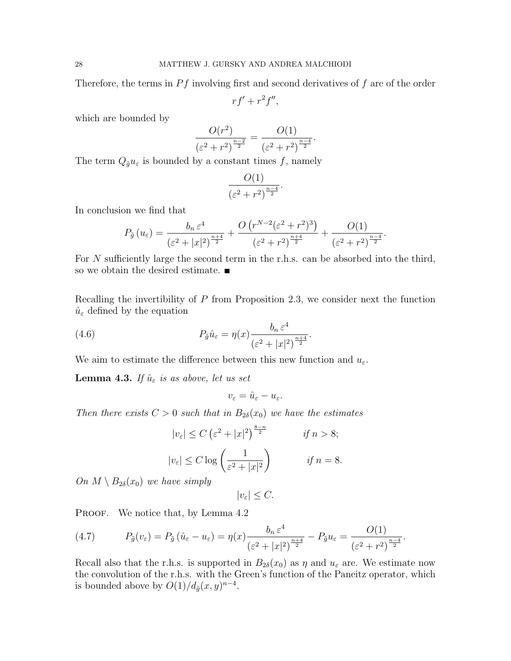Therefore, the terms in  $Pf$  involving first and second derivatives of f are of the order

$$
rf' + r^2f'',
$$

which are bounded by

$$
\frac{O(r^2)}{(\varepsilon^2 + r^2)^{\frac{n-2}{2}}} = \frac{O(1)}{(\varepsilon^2 + r^2)^{\frac{n-4}{2}}}.
$$

The term  $Q_{\tilde{g}}u_{\varepsilon}$  is bounded by a constant times f, namely

$$
\frac{O(1)}{\left(\varepsilon^2+r^2\right)^{\frac{n-4}{2}}}.
$$

In conclusion we find that

$$
P_{\tilde{g}}\left(u_{\varepsilon}\right) = \frac{b_n \,\varepsilon^4}{\left(\varepsilon^2 + |x|^2\right)^{\frac{n+4}{2}}} + \frac{O\left(r^{N-2}(\varepsilon^2 + r^2)^3\right)}{\left(\varepsilon^2 + r^2\right)^{\frac{n+4}{2}}} + \frac{O(1)}{\left(\varepsilon^2 + r^2\right)^{\frac{n-4}{2}}}
$$

.

For N sufficiently large the second term in the r.h.s. can be absorbed into the third, so we obtain the desired estimate.

Recalling the invertibility of  $P$  from Proposition 2.3, we consider next the function  $\hat{u}_{\varepsilon}$  defined by the equation

(4.6) 
$$
P_{\tilde{g}}\hat{u}_{\varepsilon} = \eta(x)\frac{b_n \varepsilon^4}{\left(\varepsilon^2 + |x|^2\right)^{\frac{n+4}{2}}}.
$$

We aim to estimate the difference between this new function and  $u_{\varepsilon}$ .

**Lemma 4.3.** If  $\hat{u}_{\varepsilon}$  is as above, let us set

$$
v_\varepsilon=\hat{u}_\varepsilon-u_\varepsilon.
$$

Then there exists  $C > 0$  such that in  $B_{2\delta}(x_0)$  we have the estimates

$$
|v_{\varepsilon}| \le C \left(\varepsilon^2 + |x|^2\right)^{\frac{8-n}{2}} \qquad \text{if } n > 8;
$$
  

$$
|v_{\varepsilon}| \le C \log \left(\frac{1}{\varepsilon^2 + |x|^2}\right) \qquad \text{if } n = 8.
$$

On  $M \setminus B_{2\delta}(x_0)$  we have simply

 $|v_{\varepsilon}| \leq C.$ 

PROOF. We notice that, by Lemma 4.2

(4.7) 
$$
P_{\tilde{g}}(v_{\varepsilon}) = P_{\tilde{g}}(\hat{u}_{\varepsilon} - u_{\varepsilon}) = \eta(x) \frac{b_n \varepsilon^4}{(\varepsilon^2 + |x|^2)^{\frac{n+4}{2}}} - P_{\tilde{g}} u_{\varepsilon} = \frac{O(1)}{(\varepsilon^2 + r^2)^{\frac{n-4}{2}}}.
$$

Recall also that the r.h.s. is supported in  $B_{2\delta}(x_0)$  as  $\eta$  and  $u_{\varepsilon}$  are. We estimate now the convolution of the r.h.s. with the Green's function of the Paneitz operator, which is bounded above by  $O(1)/d_{\tilde{g}}(x,y)^{n-4}$ .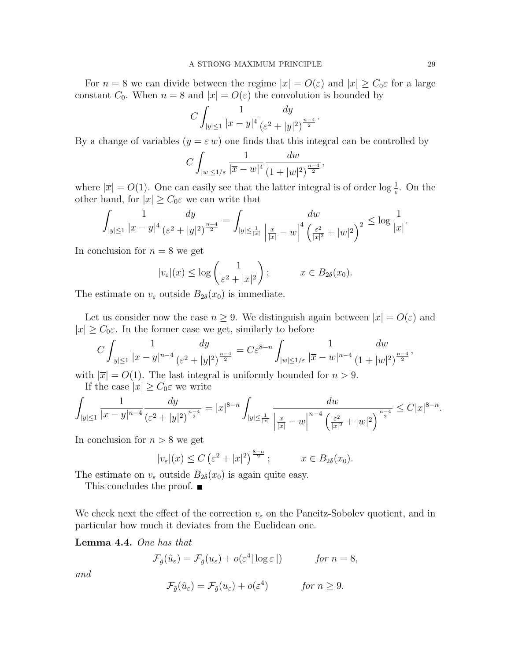For  $n = 8$  we can divide between the regime  $|x| = O(\varepsilon)$  and  $|x| \geq C_0 \varepsilon$  for a large constant  $C_0$ . When  $n = 8$  and  $|x| = O(\varepsilon)$  the convolution is bounded by

$$
C \int_{|y| \le 1} \frac{1}{|x-y|^4} \frac{dy}{(\varepsilon^2 + |y|^2)^{\frac{n-4}{2}}}.
$$

By a change of variables  $(y = \varepsilon w)$  one finds that this integral can be controlled by

$$
C\int_{|w|\leq 1/\varepsilon}\frac{1}{|\overline{x}-w|^4}\frac{dw}{(1+|w|^2)^{\frac{n-4}{2}}},
$$

where  $|\overline{x}| = O(1)$ . One can easily see that the latter integral is of order  $\log \frac{1}{\varepsilon}$ . On the other hand, for  $|x| \geq C_0 \varepsilon$  we can write that

$$
\int_{|y| \le 1} \frac{1}{|x-y|^4} \frac{dy}{(\varepsilon^2 + |y|^2)^{\frac{n-4}{2}}} = \int_{|y| \le \frac{1}{|x|}} \frac{dw}{\left| \frac{x}{|x|} - w \right|^4 \left( \frac{\varepsilon^2}{|x|^2} + |w|^2 \right)^2} \le \log \frac{1}{|x|}.
$$

In conclusion for  $n = 8$  we get

$$
|v_{\varepsilon}|(x) \le \log\left(\frac{1}{\varepsilon^2 + |x|^2}\right);
$$
  $x \in B_{2\delta}(x_0).$ 

The estimate on  $v_{\varepsilon}$  outside  $B_{2\delta}(x_0)$  is immediate.

Let us consider now the case  $n \geq 9$ . We distinguish again between  $|x| = O(\varepsilon)$  and  $|x| \geq C_0 \varepsilon$ . In the former case we get, similarly to before

$$
C\int_{|y|\leq 1} \frac{1}{|x-y|^{n-4}} \frac{dy}{(\varepsilon^2 + |y|^2)^{\frac{n-4}{2}}} = C\varepsilon^{8-n} \int_{|w|\leq 1/\varepsilon} \frac{1}{|\overline{x}-w|^{n-4}} \frac{dw}{(1+|w|^2)^{\frac{n-4}{2}}},
$$

with  $|\overline{x}| = O(1)$ . The last integral is uniformly bounded for  $n > 9$ .

If the case  $|x| \geq C_0 \varepsilon$  we write

$$
\int_{|y| \le 1} \frac{1}{|x-y|^{n-4}} \frac{dy}{(\varepsilon^2 + |y|^2)^{\frac{n-4}{2}}} = |x|^{8-n} \int_{|y| \le \frac{1}{|x|}} \frac{dw}{\left|\frac{x}{|x|} - w\right|^{n-4} \left(\frac{\varepsilon^2}{|x|^2} + |w|^2\right)^{\frac{n-4}{2}}} \le C|x|^{8-n}.
$$

In conclusion for  $n > 8$  we get

$$
|v_{\varepsilon}|(x) \le C \left(\varepsilon^2 + |x|^2\right)^{\frac{8-n}{2}}; \qquad x \in B_{2\delta}(x_0).
$$

The estimate on  $v_{\varepsilon}$  outside  $B_{2\delta}(x_0)$  is again quite easy.

This concludes the proof. ■

We check next the effect of the correction  $v_{\varepsilon}$  on the Paneitz-Sobolev quotient, and in particular how much it deviates from the Euclidean one.

Lemma 4.4. One has that

$$
\mathcal{F}_{\tilde{g}}(\hat{u}_{\varepsilon}) = \mathcal{F}_{\tilde{g}}(u_{\varepsilon}) + o(\varepsilon^4 |\log \varepsilon|) \qquad \text{for } n = 8,
$$

and

$$
\mathcal{F}_{\tilde{g}}(\hat{u}_{\varepsilon}) = \mathcal{F}_{\tilde{g}}(u_{\varepsilon}) + o(\varepsilon^4) \qquad \text{for } n \ge 9.
$$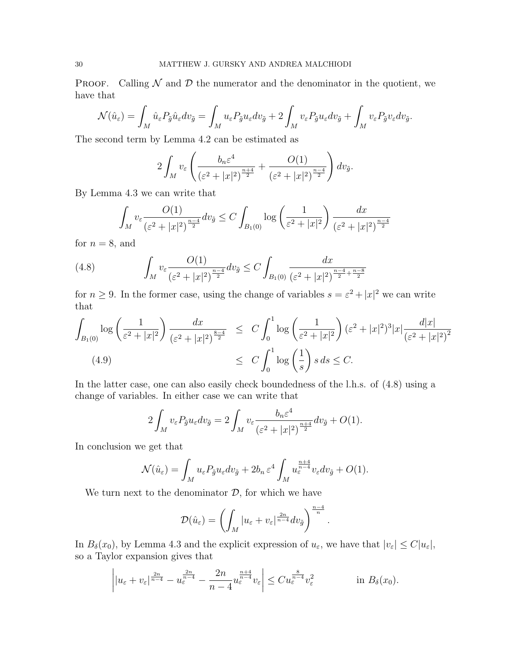**PROOF.** Calling  $N$  and  $D$  the numerator and the denominator in the quotient, we have that

$$
\mathcal{N}(\hat{u}_{\varepsilon}) = \int_M \hat{u}_{\varepsilon} P_{\tilde{g}} \hat{u}_{\varepsilon} dv_{\tilde{g}} = \int_M u_{\varepsilon} P_{\tilde{g}} u_{\varepsilon} dv_{\tilde{g}} + 2 \int_M v_{\varepsilon} P_{\tilde{g}} u_{\varepsilon} dv_{\tilde{g}} + \int_M v_{\varepsilon} P_{\tilde{g}} v_{\varepsilon} dv_{\tilde{g}}.
$$

The second term by Lemma 4.2 can be estimated as

$$
2\int_M v_{\varepsilon}\left(\frac{b_n\varepsilon^4}{(\varepsilon^2+|x|^2)^{\frac{n+4}{2}}}+\frac{O(1)}{(\varepsilon^2+|x|^2)^{\frac{n-4}{2}}}\right)dv_{\tilde{g}}.
$$

By Lemma 4.3 we can write that

$$
\int_M v_{\varepsilon} \frac{O(1)}{(\varepsilon^2 + |x|^2)^{\frac{n-4}{2}}} dv_{\tilde{g}} \le C \int_{B_1(0)} \log \left( \frac{1}{\varepsilon^2 + |x|^2} \right) \frac{dx}{(\varepsilon^2 + |x|^2)^{\frac{n-4}{2}}}
$$

for  $n = 8$ , and

(4.8) 
$$
\int_M v_{\varepsilon} \frac{O(1)}{(\varepsilon^2 + |x|^2)^{\frac{n-4}{2}}} dv_{\tilde{g}} \le C \int_{B_1(0)} \frac{dx}{(\varepsilon^2 + |x|^2)^{\frac{n-4}{2} + \frac{n-8}{2}}}
$$

for  $n \geq 9$ . In the former case, using the change of variables  $s = \varepsilon^2 + |x|^2$  we can write that

$$
\int_{B_1(0)} \log \left( \frac{1}{\varepsilon^2 + |x|^2} \right) \frac{dx}{(\varepsilon^2 + |x|^2)^{\frac{8-4}{2}}} \le C \int_0^1 \log \left( \frac{1}{\varepsilon^2 + |x|^2} \right) (\varepsilon^2 + |x|^2)^3 |x| \frac{d|x|}{(\varepsilon^2 + |x|^2)^2}
$$
\n
$$
\le C \int_0^1 \log \left( \frac{1}{s} \right) s \, ds \le C.
$$
\n(4.9)

In the latter case, one can also easily check boundedness of the l.h.s. of (4.8) using a change of variables. In either case we can write that

$$
2\int_M v_{\varepsilon} P_{\tilde{g}} u_{\varepsilon} dv_{\tilde{g}} = 2\int_M v_{\varepsilon} \frac{b_n \varepsilon^4}{(\varepsilon^2 + |x|^2)^{\frac{n+4}{2}}} dv_{\tilde{g}} + O(1).
$$

In conclusion we get that

$$
\mathcal{N}(\hat{u}_{\varepsilon}) = \int_M u_{\varepsilon} P_{\tilde{g}} u_{\varepsilon} dv_{\tilde{g}} + 2b_n \varepsilon^4 \int_M u_{\varepsilon}^{\frac{n+4}{n-4}} v_{\varepsilon} dv_{\tilde{g}} + O(1).
$$

We turn next to the denominator  $D$ , for which we have

$$
\mathcal{D}(\hat{u}_{\varepsilon}) = \left(\int_M |u_{\varepsilon} + v_{\varepsilon}|^{\frac{2n}{n-4}} dv_{\tilde{g}}\right)^{\frac{n-4}{n}}.
$$

In  $B_\delta(x_0)$ , by Lemma 4.3 and the explicit expression of  $u_\varepsilon$ , we have that  $|v_\varepsilon| \leq C |u_\varepsilon|$ , so a Taylor expansion gives that

$$
\left| |u_{\varepsilon} + v_{\varepsilon}|^{\frac{2n}{n-4}} - u_{\varepsilon}^{\frac{2n}{n-4}} - \frac{2n}{n-4} u_{\varepsilon}^{\frac{n+4}{n-4}} v_{\varepsilon} \right| \leq C u_{\varepsilon}^{\frac{8}{n-4}} v_{\varepsilon}^2 \qquad \text{in } B_{\delta}(x_0).
$$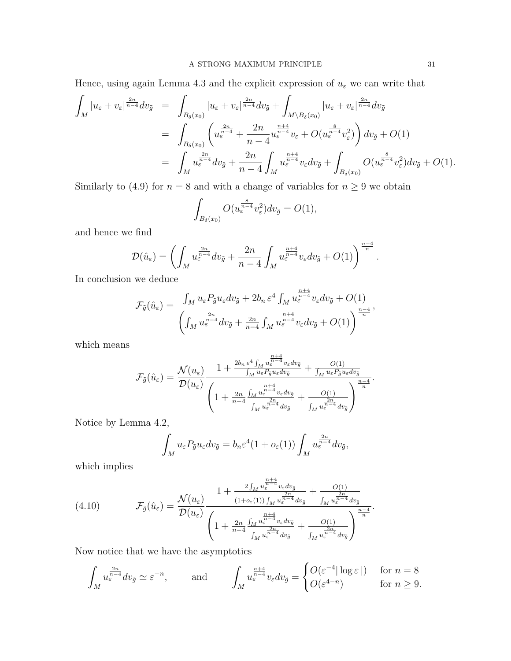Hence, using again Lemma 4.3 and the explicit expression of  $u_\varepsilon$  we can write that

$$
\int_{M} |u_{\varepsilon} + v_{\varepsilon}|^{\frac{2n}{n-4}} dv_{\tilde{g}} = \int_{B_{\delta}(x_{0})} |u_{\varepsilon} + v_{\varepsilon}|^{\frac{2n}{n-4}} dv_{\tilde{g}} + \int_{M \setminus B_{\delta}(x_{0})} |u_{\varepsilon} + v_{\varepsilon}|^{\frac{2n}{n-4}} dv_{\tilde{g}} \n= \int_{B_{\delta}(x_{0})} \left( u_{\varepsilon}^{\frac{2n}{n-4}} + \frac{2n}{n-4} u_{\varepsilon}^{\frac{n+4}{n-4}} v_{\varepsilon} + O(u_{\varepsilon}^{\frac{8}{n-4}} v_{\varepsilon}^2) \right) dv_{\tilde{g}} + O(1) \n= \int_{M} u_{\varepsilon}^{\frac{2n}{n-4}} dv_{\tilde{g}} + \frac{2n}{n-4} \int_{M} u_{\varepsilon}^{\frac{n+4}{n-4}} v_{\varepsilon} dv_{\tilde{g}} + \int_{B_{\delta}(x_{0})} O(u_{\varepsilon}^{\frac{8}{n-4}} v_{\varepsilon}^2) dv_{\tilde{g}} + O(1).
$$

Similarly to (4.9) for  $n = 8$  and with a change of variables for  $n \geq 9$  we obtain

$$
\int_{B_{\delta}(x_0)} O(u_{\varepsilon}^{\frac{8}{n-4}}v_{\varepsilon}^2)dv_{\tilde{g}} = O(1),
$$

and hence we find

$$
\mathcal{D}(\hat{u}_{\varepsilon}) = \left(\int_M u_{\varepsilon}^{\frac{2n}{n-4}} dv_{\tilde{g}} + \frac{2n}{n-4} \int_M u_{\varepsilon}^{\frac{n+4}{n-4}} v_{\varepsilon} dv_{\tilde{g}} + O(1)\right)^{\frac{n-4}{n}}.
$$

In conclusion we deduce

$$
\mathcal{F}_{\tilde{g}}(\hat{u}_{\varepsilon}) = \frac{\int_M u_{\varepsilon} P_{\tilde{g}} u_{\varepsilon} dv_{\tilde{g}} + 2b_n \varepsilon^4 \int_M u_{\varepsilon}^{\frac{n+4}{n-4}} v_{\varepsilon} dv_{\tilde{g}} + O(1)}{\left(\int_M u_{\varepsilon}^{\frac{2n}{n-4}} dv_{\tilde{g}} + \frac{2n}{n-4} \int_M u_{\varepsilon}^{\frac{n+4}{n-4}} v_{\varepsilon} dv_{\tilde{g}} + O(1)\right)^{\frac{n-4}{n}}},
$$

which means

$$
\mathcal{F}_{\tilde{g}}(\hat{u}_{\varepsilon}) = \frac{\mathcal{N}(u_{\varepsilon})}{\mathcal{D}(u_{\varepsilon})} \frac{1 + \frac{2b_n \varepsilon^4 \int_M u_{\varepsilon}^{\frac{n+4}{n-4}} v_{\varepsilon} dv_{\tilde{g}}}{\left(1 + \frac{2n}{n-4} \frac{\int_M u_{\varepsilon}^{\frac{n+4}{n-4}} v_{\varepsilon} dv_{\tilde{g}}}{\int_M u_{\varepsilon}^{\frac{n+4}{n-4}} dv_{\tilde{g}}} + \frac{O(1)}{\int_M u_{\varepsilon}^{\frac{2n}{n-4}} dv_{\tilde{g}}}\right)^{\frac{n-4}{n}}}.
$$

Notice by Lemma 4.2,

$$
\int_M u_{\varepsilon} P_{\tilde{g}} u_{\varepsilon} dv_{\tilde{g}} = b_n \varepsilon^4 (1 + o_{\varepsilon}(1)) \int_M u_{\varepsilon}^{\frac{2n}{n-4}} dv_{\tilde{g}},
$$

which implies

(4.10) 
$$
\mathcal{F}_{\tilde{g}}(\hat{u}_{\varepsilon}) = \frac{\mathcal{N}(u_{\varepsilon})}{\mathcal{D}(u_{\varepsilon})} \frac{1 + \frac{2 \int_M u_{\varepsilon}^{\frac{n+4}{n-4}} v_{\varepsilon} dv_{\tilde{g}}}{(1 + o_{\varepsilon}(1)) \int_M u_{\varepsilon}^{\frac{2n}{n-4}} dv_{\tilde{g}}} + \frac{O(1)}{\int_M u_{\varepsilon}^{\frac{2n}{n-4}} dv_{\tilde{g}}}}{\left(1 + \frac{2n}{n-4} \frac{\int_M u_{\varepsilon}^{\frac{n+4}{n-4}} v_{\varepsilon} dv_{\tilde{g}}}{\int_M u_{\varepsilon}^{\frac{2n}{n-4}} dv_{\tilde{g}}} + \frac{O(1)}{\int_M u_{\varepsilon}^{\frac{2n}{n-4}} dv_{\tilde{g}}}}\right)^{\frac{n-4}{n}}}.
$$

Now notice that we have the asymptotics

$$
\int_M u_{\varepsilon}^{\frac{2n}{n-4}} dv_{\tilde{g}} \simeq \varepsilon^{-n}, \quad \text{and} \quad \int_M u_{\varepsilon}^{\frac{n+4}{n-4}} v_{\varepsilon} dv_{\tilde{g}} = \begin{cases} O(\varepsilon^{-4} |\log \varepsilon|) & \text{for } n = 8\\ O(\varepsilon^{4-n}) & \text{for } n \ge 9. \end{cases}
$$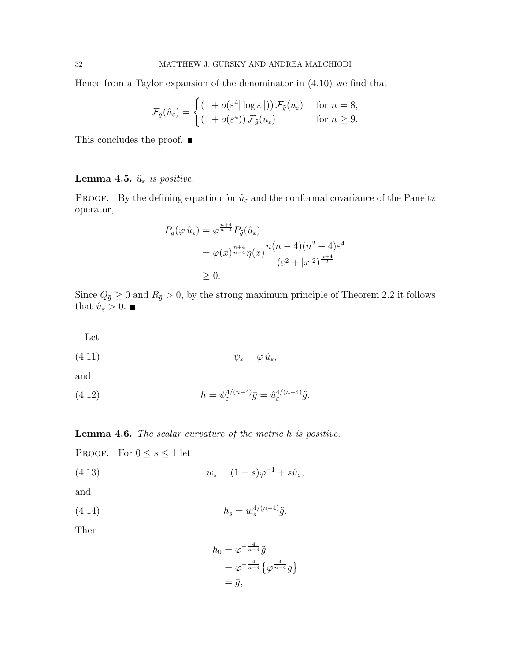Hence from a Taylor expansion of the denominator in (4.10) we find that

$$
\mathcal{F}_{\tilde{g}}(\hat{u}_{\varepsilon}) = \begin{cases} (1 + o(\varepsilon^4 |\log \varepsilon|)) \mathcal{F}_{\tilde{g}}(u_{\varepsilon}) & \text{for } n = 8, \\ (1 + o(\varepsilon^4)) \mathcal{F}_{\tilde{g}}(u_{\varepsilon}) & \text{for } n \ge 9. \end{cases}
$$

This concludes the proof.  $\blacksquare$ 

# Lemma 4.5.  $\hat{u}_{\varepsilon}$  is positive.

PROOF. By the defining equation for  $\hat{u}_{\varepsilon}$  and the conformal covariance of the Paneitz operator,

$$
P_{\bar{g}}(\varphi \hat{u}_{\varepsilon}) = \varphi^{\frac{n+4}{n-4}} P_{\tilde{g}}(\hat{u}_{\varepsilon})
$$
  
=  $\varphi(x)^{\frac{n+4}{n-4}} \eta(x) \frac{n(n-4)(n^2-4)\varepsilon^4}{(\varepsilon^2 + |x|^2)^{\frac{n+4}{2}}}$   
 $\geq 0.$ 

Since  $Q_{\bar{g}} \geq 0$  and  $R_{\bar{g}} > 0$ , by the strong maximum principle of Theorem 2.2 it follows that  $\hat{u}_{\varepsilon} > 0$ .

Let

$$
\psi_{\varepsilon} = \varphi \, \hat{u}_{\varepsilon},
$$

and

(4.12) 
$$
h = \psi_{\varepsilon}^{4/(n-4)} \bar{g} = \hat{u}_{\varepsilon}^{4/(n-4)} \tilde{g}.
$$

Lemma 4.6. The scalar curvature of the metric h is positive.

PROOF. For  $0 \leq s \leq 1$  let

(4.13) 
$$
w_s = (1 - s)\varphi^{-1} + s\hat{u}_\varepsilon,
$$

and

(4.14) 
$$
h_s = w_s^{4/(n-4)}\tilde{g}.
$$

Then

$$
h_0 = \varphi^{-\frac{4}{n-4}} \tilde{g}
$$
  
= 
$$
\varphi^{-\frac{4}{n-4}} \left\{ \varphi^{\frac{4}{n-4}} g \right\}
$$
  
= 
$$
\bar{g},
$$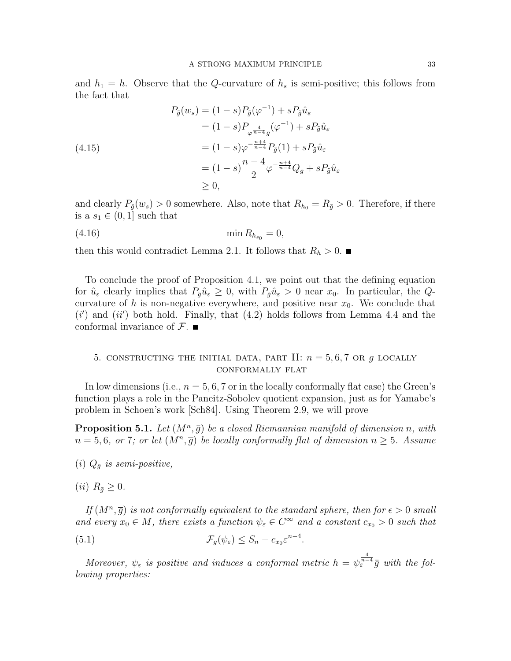and  $h_1 = h$ . Observe that the Q-curvature of  $h_s$  is semi-positive; this follows from the fact that

$$
P_{\tilde{g}}(w_s) = (1 - s)P_{\tilde{g}}(\varphi^{-1}) + sP_{\tilde{g}}\hat{u}_{\varepsilon}
$$
  
=  $(1 - s)P_{\varphi} \frac{4}{n - 4} \bar{g}(\varphi^{-1}) + sP_{\tilde{g}}\hat{u}_{\varepsilon}$   
=  $(1 - s)\varphi^{-\frac{n + 4}{n - 4}}P_{\tilde{g}}(1) + sP_{\tilde{g}}\hat{u}_{\varepsilon}$   
=  $(1 - s)\frac{n - 4}{2}\varphi^{-\frac{n + 4}{n - 4}}Q_{\tilde{g}} + sP_{\tilde{g}}\hat{u}_{\varepsilon}$   
 $\geq 0,$ 

and clearly  $P_{\tilde{g}}(w_s) > 0$  somewhere. Also, note that  $R_{h_0} = R_{\tilde{g}} > 0$ . Therefore, if there is a  $s_1 \in (0,1]$  such that

$$
\min R_{h_{s_0}} = 0,
$$

then this would contradict Lemma 2.1. It follows that  $R_h > 0$ .

To conclude the proof of Proposition 4.1, we point out that the defining equation for  $\hat{u}_{\varepsilon}$  clearly implies that  $P_{\tilde{q}}\hat{u}_{\varepsilon} \geq 0$ , with  $P_{\tilde{q}}\hat{u}_{\varepsilon} > 0$  near  $x_0$ . In particular, the Qcurvature of h is non-negative everywhere, and positive near  $x_0$ . We conclude that  $(i')$  and  $(ii')$  both hold. Finally, that  $(4.2)$  holds follows from Lemma 4.4 and the conformal invariance of  $\mathcal{F}$ .

# 5. CONSTRUCTING THE INITIAL DATA, PART II:  $n = 5, 6, 7$  OR  $\overline{q}$  locally conformally flat

In low dimensions (i.e.,  $n = 5, 6, 7$  or in the locally conformally flat case) the Green's function plays a role in the Paneitz-Sobolev quotient expansion, just as for Yamabe's problem in Schoen's work [Sch84]. Using Theorem 2.9, we will prove

**Proposition 5.1.** Let  $(M^n, \bar{g})$  be a closed Riemannian manifold of dimension n, with  $n=5,6$ , or 7; or let  $(M^n, \overline{g})$  be locally conformally flat of dimension  $n \geq 5$ . Assume

(i)  $Q_{\bar{g}}$  is semi-positive,

(*ii*)  $R_{\bar{q}} \geq 0$ .

If  $(M^n, \overline{g})$  is not conformally equivalent to the standard sphere, then for  $\epsilon > 0$  small and every  $x_0 \in M$ , there exists a function  $\psi_{\varepsilon} \in C^{\infty}$  and a constant  $c_{x_0} > 0$  such that

(5.1) 
$$
\mathcal{F}_{\bar{g}}(\psi_{\varepsilon}) \leq S_n - c_{x_0} \varepsilon^{n-4}.
$$

Moreover,  $\psi_{\varepsilon}$  is positive and induces a conformal metric  $h = \psi_{\varepsilon}^{\frac{4}{n-4}} \bar{g}$  with the following properties: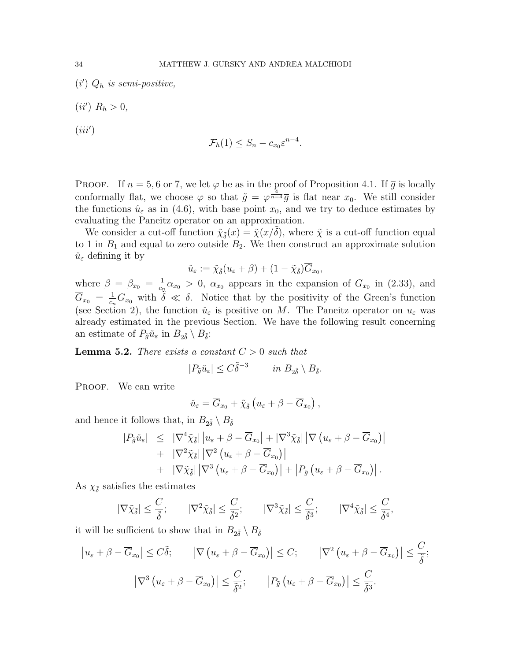$(i') Q_h$  is semi-positive,

$$
(ii') R_h > 0,
$$

 $(iii')$ 

$$
\mathcal{F}_h(1) \le S_n - c_{x_0} \varepsilon^{n-4}.
$$

**PROOF.** If  $n = 5, 6$  or 7, we let  $\varphi$  be as in the proof of Proposition 4.1. If  $\overline{g}$  is locally conformally flat, we choose  $\varphi$  so that  $\tilde{g} = \varphi^{\frac{1}{n-4}}\overline{g}$  is flat near  $x_0$ . We still consider the functions  $\hat{u}_{\varepsilon}$  as in (4.6), with base point  $x_0$ , and we try to deduce estimates by evaluating the Paneitz operator on an approximation.

We consider a cut-off function  $\tilde{\chi}_{\tilde{\delta}}(x) = \tilde{\chi}(x/\tilde{\delta})$ , where  $\tilde{\chi}$  is a cut-off function equal to 1 in  $B_1$  and equal to zero outside  $B_2$ . We then construct an approximate solution  $\check{u}_{\varepsilon}$  defining it by

$$
\check{u}_{\varepsilon} := \tilde{\chi}_{\tilde{\delta}}(u_{\varepsilon} + \beta) + (1 - \tilde{\chi}_{\tilde{\delta}})\overline{G}_{x_0},
$$

where  $\beta = \beta_{x_0} = \frac{1}{c_x}$  $\frac{1}{c_n} \alpha_{x_0} > 0$ ,  $\alpha_{x_0}$  appears in the expansion of  $G_{x_0}$  in (2.33), and  $\overline{G}_{x_0}$  =  $\frac{1}{c_x}$  $\frac{1}{c_n}G_{x_0}$  with  $\tilde{\delta} \ll \delta$ . Notice that by the positivity of the Green's function (see Section 2), the function  $\check{u}_{\varepsilon}$  is positive on M. The Paneitz operator on  $u_{\varepsilon}$  was already estimated in the previous Section. We have the following result concerning an estimate of  $P_{\tilde{g}}\tilde{u}_{\varepsilon}$  in  $B_{2\tilde{\delta}} \setminus B_{\tilde{\delta}}$ :

**Lemma 5.2.** There exists a constant  $C > 0$  such that

$$
|P_{\tilde{g}}\check{u}_{\varepsilon}|\leq C\tilde{\delta}^{-3}\qquad \text{ in }B_{2\tilde{\delta}}\setminus B_{\tilde{\delta}}.
$$

PROOF. We can write

$$
\check{u}_{\varepsilon} = \overline{G}_{x_0} + \tilde{\chi}_{\tilde{\delta}} \left( u_{\varepsilon} + \beta - \overline{G}_{x_0} \right),
$$

and hence it follows that, in  $B_{2\tilde{\delta}} \setminus B_{\tilde{\delta}}$ 

$$
\begin{split} |P_{\tilde{g}}\tilde{u}_{\varepsilon}| &\leq \left|\nabla^{4}\tilde{\chi}_{\tilde{\delta}}\right|\left|u_{\varepsilon}+\beta-\overline{G}_{x_{0}}\right|+\left|\nabla^{3}\tilde{\chi}_{\tilde{\delta}}\right|\left|\nabla\left(u_{\varepsilon}+\beta-\overline{G}_{x_{0}}\right)\right| \\ &+ \left|\nabla^{2}\tilde{\chi}_{\tilde{\delta}}\right|\left|\nabla^{2}\left(u_{\varepsilon}+\beta-\overline{G}_{x_{0}}\right)\right| \\ &+ \left|\nabla\tilde{\chi}_{\tilde{\delta}}\right|\left|\nabla^{3}\left(u_{\varepsilon}+\beta-\overline{G}_{x_{0}}\right)\right|+\left|P_{\tilde{g}}\left(u_{\varepsilon}+\beta-\overline{G}_{x_{0}}\right)\right|.\end{split}
$$

As  $\chi_{\tilde{\delta}}$  satisfies the estimates

$$
|\nabla \tilde{\chi}_{\tilde{\delta}}| \leq \frac{C}{\tilde{\delta}}; \qquad |\nabla^2 \tilde{\chi}_{\tilde{\delta}}| \leq \frac{C}{\tilde{\delta}^2}; \qquad |\nabla^3 \tilde{\chi}_{\tilde{\delta}}| \leq \frac{C}{\tilde{\delta}^3}; \qquad |\nabla^4 \tilde{\chi}_{\tilde{\delta}}| \leq \frac{C}{\tilde{\delta}^4},
$$

it will be sufficient to show that in  $B_{2\tilde{\delta}} \setminus B_{\tilde{\delta}}$ 

$$
\left| u_{\varepsilon} + \beta - \overline{G}_{x_0} \right| \le C\tilde{\delta}; \qquad \left| \nabla \left( u_{\varepsilon} + \beta - \overline{G}_{x_0} \right) \right| \le C; \qquad \left| \nabla^2 \left( u_{\varepsilon} + \beta - \overline{G}_{x_0} \right) \right| \le \frac{C}{\tilde{\delta}};
$$

$$
\left| \nabla^3 \left( u_{\varepsilon} + \beta - \overline{G}_{x_0} \right) \right| \le \frac{C}{\tilde{\delta}^2}; \qquad \left| P_{\tilde{g}} \left( u_{\varepsilon} + \beta - \overline{G}_{x_0} \right) \right| \le \frac{C}{\tilde{\delta}^3}.
$$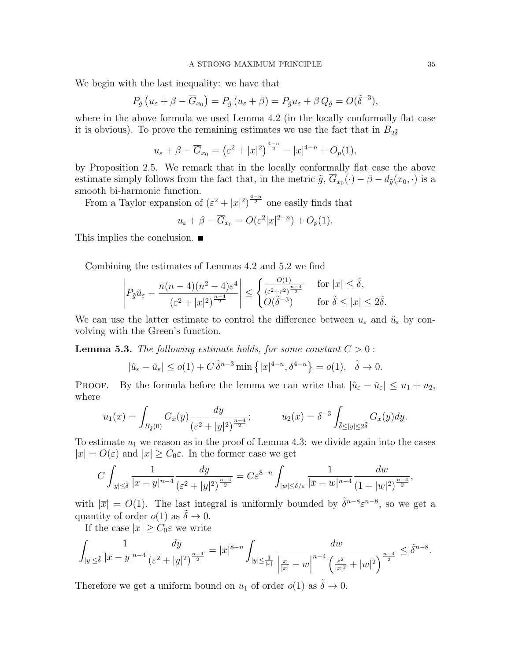We begin with the last inequality: we have that

$$
P_{\tilde{g}}\left(u_{\varepsilon} + \beta - \overline{G}_{x_0}\right) = P_{\tilde{g}}\left(u_{\varepsilon} + \beta\right) = P_{\tilde{g}}u_{\varepsilon} + \beta Q_{\tilde{g}} = O(\tilde{\delta}^{-3}),
$$

where in the above formula we used Lemma 4.2 (in the locally conformally flat case it is obvious). To prove the remaining estimates we use the fact that in  $B_{2\tilde{\delta}}$ 

$$
u_{\varepsilon} + \beta - \overline{G}_{x_0} = (\varepsilon^2 + |x|^2)^{\frac{4-n}{2}} - |x|^{4-n} + O_p(1),
$$

by Proposition 2.5. We remark that in the locally conformally flat case the above estimate simply follows from the fact that, in the metric  $\tilde{g}$ ,  $\overline{G}_{x_0}(\cdot) - \beta - d_{\tilde{g}}(x_0, \cdot)$  is a smooth bi-harmonic function.

From a Taylor expansion of  $(\varepsilon^2 + |x|^2)^{\frac{4-n}{2}}$  one easily finds that

$$
u_{\varepsilon} + \beta - \overline{G}_{x_0} = O(\varepsilon^2 |x|^{2-n}) + O_p(1).
$$

This implies the conclusion. ■

Combining the estimates of Lemmas 4.2 and 5.2 we find

$$
\left| P_{\tilde{g}} \check{u}_{\varepsilon} - \frac{n(n-4)(n^2 - 4)\varepsilon^4}{(\varepsilon^2 + |x|^2)^{\frac{n+4}{2}}} \right| \le \begin{cases} \frac{O(1)}{(\varepsilon^2 + r^2)^{\frac{n-4}{2}}} & \text{for } |x| \le \tilde{\delta}, \\ O(\tilde{\delta}^{-3}) & \text{for } \tilde{\delta} \le |x| \le 2\tilde{\delta}. \end{cases}
$$

We can use the latter estimate to control the difference between  $u_{\varepsilon}$  and  $\check{u}_{\varepsilon}$  by convolving with the Green's function.

**Lemma 5.3.** The following estimate holds, for some constant  $C > 0$ :

$$
|\hat{u}_{\varepsilon} - \check{u}_{\varepsilon}| \le o(1) + C \, \tilde{\delta}^{n-3} \min\left\{|x|^{4-n}, \delta^{4-n}\right\} = o(1), \quad \tilde{\delta} \to 0.
$$

**PROOF.** By the formula before the lemma we can write that  $|\hat{u}_{\varepsilon} - \check{u}_{\varepsilon}| \leq u_1 + u_2$ , where

$$
u_1(x) = \int_{B_{\tilde{\delta}}(0)} G_x(y) \frac{dy}{(\varepsilon^2 + |y|^2)^{\frac{n-4}{2}}}; \qquad u_2(x) = \delta^{-3} \int_{\tilde{\delta} \le |y| \le 2\tilde{\delta}} G_x(y) dy.
$$

To estimate  $u_1$  we reason as in the proof of Lemma 4.3: we divide again into the cases  $|x| = O(\varepsilon)$  and  $|x| \geq C_0 \varepsilon$ . In the former case we get

$$
C\int_{|y|\leq \tilde{\delta}}\frac{1}{|x-y|^{n-4}}\frac{dy}{(\varepsilon^2+|y|^2)^{\frac{n-4}{2}}}=C\varepsilon^{8-n}\int_{|w|\leq \tilde{\delta}/\varepsilon}\frac{1}{|\overline{x}-w|^{n-4}}\frac{dw}{(1+|w|^2)^{\frac{n-4}{2}}},
$$

with  $|\overline{x}| = O(1)$ . The last integral is uniformly bounded by  $\tilde{\delta}^{n-8} \varepsilon^{n-8}$ , so we get a quantity of order  $o(1)$  as  $\tilde{\delta} \to 0$ .

If the case  $|x| \geq C_0 \varepsilon$  we write

$$
\int_{|y| \leq \tilde{\delta}} \frac{1}{|x-y|^{n-4}} \frac{dy}{(\varepsilon^2 + |y|^2)^{\frac{n-4}{2}}} = |x|^{8-n} \int_{|y| \leq \frac{\tilde{\delta}}{|x|}} \frac{dw}{\left|\frac{x}{|x|} - w\right|^{n-4} \left(\frac{\varepsilon^2}{|x|^2} + |w|^2\right)^{\frac{n-4}{2}}} \leq \tilde{\delta}^{n-8}.
$$

Therefore we get a uniform bound on  $u_1$  of order  $o(1)$  as  $\tilde{\delta} \to 0$ .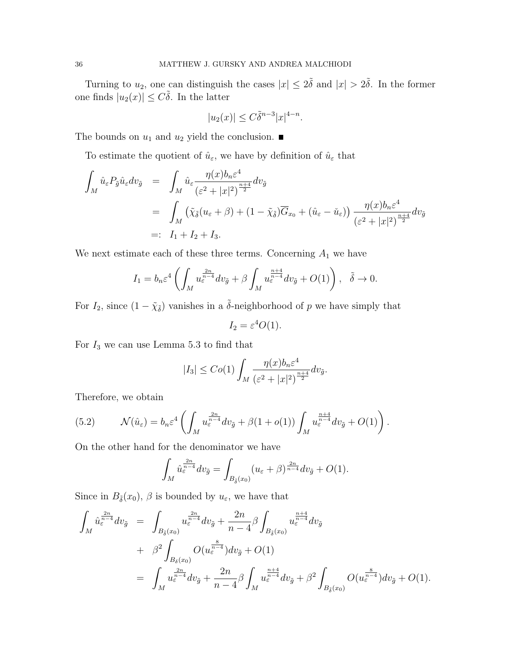Turning to  $u_2$ , one can distinguish the cases  $|x| \leq 2\tilde{\delta}$  and  $|x| > 2\tilde{\delta}$ . In the former one finds  $|u_2(x)| \leq C\tilde{\delta}$ . In the latter

$$
|u_2(x)| \leq C\tilde{\delta}^{n-3}|x|^{4-n}.
$$

The bounds on  $u_1$  and  $u_2$  yield the conclusion.

To estimate the quotient of  $\hat{u}_{\varepsilon}$ , we have by definition of  $\hat{u}_{\varepsilon}$  that

$$
\int_{M} \hat{u}_{\varepsilon} P_{\tilde{g}} \hat{u}_{\varepsilon} dv_{\tilde{g}} = \int_{M} \hat{u}_{\varepsilon} \frac{\eta(x) b_{n} \varepsilon^{4}}{(\varepsilon^{2} + |x|^{2})^{\frac{n+4}{2}}} dv_{\tilde{g}}
$$
\n
$$
= \int_{M} \left( \tilde{\chi}_{\tilde{\delta}} (u_{\varepsilon} + \beta) + (1 - \tilde{\chi}_{\tilde{\delta}}) \overline{G}_{x_{0}} + (\hat{u}_{\varepsilon} - \check{u}_{\varepsilon}) \right) \frac{\eta(x) b_{n} \varepsilon^{4}}{(\varepsilon^{2} + |x|^{2})^{\frac{n+4}{2}}} dv_{\tilde{g}}
$$
\n
$$
=: I_{1} + I_{2} + I_{3}.
$$

We next estimate each of these three terms. Concerning  $A_1$  we have

$$
I_1 = b_n \varepsilon^4 \left( \int_M u_\varepsilon^{\frac{2n}{n-4}} dv_{\tilde{g}} + \beta \int_M u_\varepsilon^{\frac{n+4}{n-4}} dv_{\tilde{g}} + O(1) \right), \quad \tilde{\delta} \to 0.
$$

For  $I_2$ , since  $(1 - \tilde{\chi}_{\tilde{\delta}})$  vanishes in a  $\tilde{\delta}$ -neighborhood of p we have simply that

$$
I_2 = \varepsilon^4 O(1).
$$

For  $I_3$  we can use Lemma 5.3 to find that

$$
|I_3| \leq Co(1) \int_M \frac{\eta(x)b_n \varepsilon^4}{\left(\varepsilon^2 + |x|^2\right)^{\frac{n+4}{2}}} dv_{\tilde{g}}.
$$

Therefore, we obtain

(5.2) 
$$
\mathcal{N}(\hat{u}_{\varepsilon}) = b_n \varepsilon^4 \left( \int_M u_{\varepsilon}^{\frac{2n}{n-4}} dv_{\tilde{g}} + \beta (1 + o(1)) \int_M u_{\varepsilon}^{\frac{n+4}{n-4}} dv_{\tilde{g}} + O(1) \right).
$$

On the other hand for the denominator we have

$$
\int_M \hat{u}_{\varepsilon}^{\frac{2n}{n-4}} dv_{\tilde{g}} = \int_{B_{\tilde{\delta}}(x_0)} (u_{\varepsilon} + \beta)^{\frac{2n}{n-4}} dv_{\tilde{g}} + O(1).
$$

Since in  $B_{\tilde{\delta}}(x_0)$ ,  $\beta$  is bounded by  $u_{\varepsilon}$ , we have that

$$
\int_{M} \hat{u}_{\varepsilon}^{\frac{2n}{n-4}} dv_{\tilde{g}} = \int_{B_{\tilde{\delta}}(x_{0})} u_{\varepsilon}^{\frac{2n}{n-4}} dv_{\tilde{g}} + \frac{2n}{n-4} \beta \int_{B_{\tilde{\delta}}(x_{0})} u_{\varepsilon}^{\frac{n+4}{n-4}} dv_{\tilde{g}} \n+ \beta^{2} \int_{B_{\delta}(x_{0})} O(u_{\varepsilon}^{\frac{8}{n-4}}) dv_{\tilde{g}} + O(1) \n= \int_{M} u_{\varepsilon}^{\frac{2n}{n-4}} dv_{\tilde{g}} + \frac{2n}{n-4} \beta \int_{M} u_{\varepsilon}^{\frac{n+4}{n-4}} dv_{\tilde{g}} + \beta^{2} \int_{B_{\tilde{\delta}}(x_{0})} O(u_{\varepsilon}^{\frac{8}{n-4}}) dv_{\tilde{g}} + O(1).
$$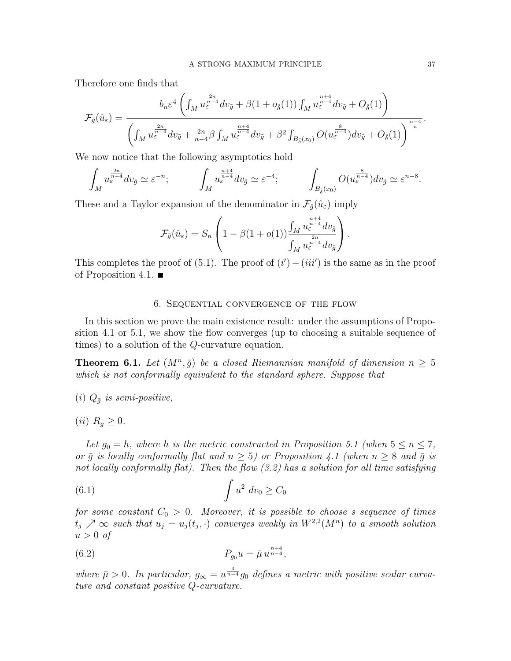Therefore one finds that

$$
\mathcal{F}_{\tilde{g}}(\hat{u}_{\varepsilon}) = \frac{b_n \varepsilon^4 \left( \int_M u_{\varepsilon}^{\frac{2n}{n-4}} dv_{\tilde{g}} + \beta (1 + o_{\tilde{\delta}}(1)) \int_M u_{\varepsilon}^{\frac{n+4}{n-4}} dv_{\tilde{g}} + O_{\tilde{\delta}}(1) \right)}{\left( \int_M u_{\varepsilon}^{\frac{2n}{n-4}} dv_{\tilde{g}} + \frac{2n}{n-4} \beta \int_M u_{\varepsilon}^{\frac{n+4}{n-4}} dv_{\tilde{g}} + \beta^2 \int_{B_{\tilde{\delta}}(x_0)} O(u_{\varepsilon}^{\frac{8}{n-4}}) dv_{\tilde{g}} + O_{\tilde{\delta}}(1) \right)^{\frac{n-4}{n}}}.
$$

We now notice that the following asymptotics hold

$$
\int_M u_{\varepsilon}^{\frac{2n}{n-4}} dv_{\tilde{g}} \simeq \varepsilon^{-n}; \qquad \int_M u_{\varepsilon}^{\frac{n+4}{n-4}} dv_{\tilde{g}} \simeq \varepsilon^{-4}; \qquad \int_{B_{\tilde{\delta}}(x_0)} O(u_{\varepsilon}^{\frac{8}{n-4}}) dv_{\tilde{g}} \simeq \varepsilon^{n-8}.
$$

These and a Taylor expansion of the denominator in  $\mathcal{F}_{\tilde{g}}(\hat{u}_{\varepsilon})$  imply

$$
\mathcal{F}_{\tilde{g}}(\hat{u}_{\varepsilon}) = S_n \left( 1 - \beta (1 + o(1)) \frac{\int_M u_{\varepsilon}^{\frac{n+4}{n-4}} dv_{\tilde{g}}}{\int_M u_{\varepsilon}^{\frac{2n}{n-4}} dv_{\tilde{g}}} \right).
$$

This completes the proof of  $(5.1)$ . The proof of  $(i') - (iii')$  is the same as in the proof of Proposition 4.1.  $\blacksquare$ 

## 6. Sequential convergence of the flow

In this section we prove the main existence result: under the assumptions of Proposition 4.1 or 5.1, we show the flow converges (up to choosing a suitable sequence of times) to a solution of the Q-curvature equation.

**Theorem 6.1.** Let  $(M^n, \bar{g})$  be a closed Riemannian manifold of dimension  $n \geq 5$ which is not conformally equivalent to the standard sphere. Suppose that

(i)  $Q_{\bar{g}}$  is semi-positive,

$$
(ii) R_{\bar{g}} \geq 0.
$$

Let  $g_0 = h$ , where h is the metric constructed in Proposition 5.1 (when  $5 \le n \le 7$ , or  $\bar{g}$  is locally conformally flat and  $n \geq 5$ ) or Proposition 4.1 (when  $n \geq 8$  and  $\bar{g}$  is not locally conformally flat). Then the flow (3.2) has a solution for all time satisfying

$$
\int u^2 dv_0 \ge C_0
$$

for some constant  $C_0 > 0$ . Moreover, it is possible to choose s sequence of times  $t_j \nearrow \infty$  such that  $u_j = u_j(t_j, \cdot)$  converges weakly in  $W^{2,2}(M^n)$  to a smooth solution  $u > 0$  of

(6.2) 
$$
P_{g_0}u = \bar{\mu} u^{\frac{n+4}{n-4}},
$$

where  $\bar{\mu} > 0$ . In particular,  $g_{\infty} = u^{\frac{4}{n-4}} g_0$  defines a metric with positive scalar curvature and constant positive Q-curvature.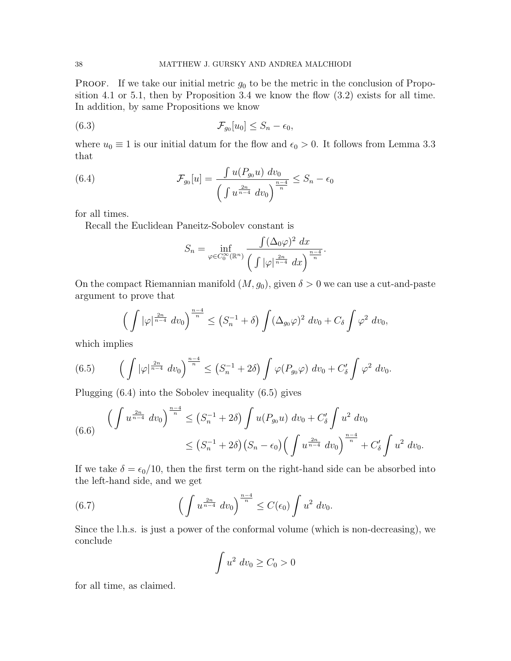**PROOF.** If we take our initial metric  $g_0$  to be the metric in the conclusion of Proposition 4.1 or 5.1, then by Proposition 3.4 we know the flow (3.2) exists for all time. In addition, by same Propositions we know

(6.3) 
$$
\mathcal{F}_{g_0}[u_0] \leq S_n - \epsilon_0,
$$

where  $u_0 \equiv 1$  is our initial datum for the flow and  $\epsilon_0 > 0$ . It follows from Lemma 3.3 that

(6.4) 
$$
\mathcal{F}_{g_0}[u] = \frac{\int u(P_{g_0}u) dv_0}{\left(\int u^{\frac{2n}{n-4}} dv_0\right)^{\frac{n-4}{n}}} \leq S_n - \epsilon_0
$$

for all times.

Recall the Euclidean Paneitz-Sobolev constant is

$$
S_n = \inf_{\varphi \in C_0^{\infty}(\mathbb{R}^n)} \frac{\int (\Delta_0 \varphi)^2 dx}{\left( \int |\varphi|^{\frac{2n}{n-4}} dx \right)^{\frac{n-4}{n}}}.
$$

On the compact Riemannian manifold  $(M, g_0)$ , given  $\delta > 0$  we can use a cut-and-paste argument to prove that

$$
\left(\int |\varphi|^{\frac{2n}{n-4}} dv_0\right)^{\frac{n-4}{n}} \leq \left(S_n^{-1} + \delta\right) \int (\Delta_{g_0} \varphi)^2 dv_0 + C_\delta \int \varphi^2 dv_0,
$$

which implies

(6.5) 
$$
\left(\int |\varphi|^{\frac{2n}{n-4}} dv_0\right)^{\frac{n-4}{n}} \leq (S_n^{-1} + 2\delta) \int \varphi(P_{g_0}\varphi) dv_0 + C'_\delta \int \varphi^2 dv_0.
$$

Plugging (6.4) into the Sobolev inequality (6.5) gives

$$
(6.6) \qquad \left(\int u^{\frac{2n}{n-4}} dv_0\right)^{\frac{n-4}{n}} \leq \left(S_n^{-1} + 2\delta\right) \int u(P_{g_0}u) dv_0 + C'_\delta \int u^2 dv_0
$$
  

$$
\leq \left(S_n^{-1} + 2\delta\right) \left(S_n - \epsilon_0\right) \left(\int u^{\frac{2n}{n-4}} dv_0\right)^{\frac{n-4}{n}} + C'_\delta \int u^2 dv_0.
$$

If we take  $\delta = \epsilon_0/10$ , then the first term on the right-hand side can be absorbed into the left-hand side, and we get

(6.7) 
$$
\left(\int u^{\frac{2n}{n-4}} dv_0\right)^{\frac{n-4}{n}} \leq C(\epsilon_0) \int u^2 dv_0.
$$

Since the l.h.s. is just a power of the conformal volume (which is non-decreasing), we conclude

$$
\int u^2 dv_0 \ge C_0 > 0
$$

for all time, as claimed.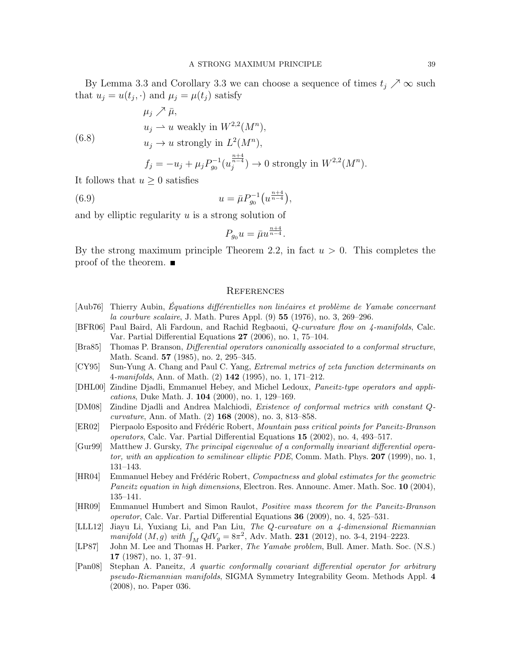By Lemma 3.3 and Corollary 3.3 we can choose a sequence of times  $t_j \nearrow \infty$  such that  $u_j = u(t_j, \cdot)$  and  $\mu_j = \mu(t_j)$  satisfy

(6.8) 
$$
\mu_j \nearrow \bar{\mu},
$$

$$
u_j \rightharpoonup u \text{ weakly in } W^{2,2}(M^n),
$$

$$
u_j \to u \text{ strongly in } L^2(M^n),
$$

$$
f_j = -u_j + \mu_j P_{g_0}^{-1}(u_j^{\frac{n+4}{n-4}}) \to 0 \text{ strongly in } W^{2,2}(M^n).
$$

It follows that  $u \geq 0$  satisfies

(6.9) 
$$
u = \bar{\mu} P_{g_0}^{-1} \left( u^{\frac{n+4}{n-4}} \right),
$$

and by elliptic regularity  $u$  is a strong solution of

$$
P_{g_0}u = \bar{\mu}u^{\frac{n+4}{n-4}}.
$$

By the strong maximum principle Theorem 2.2, in fact  $u > 0$ . This completes the proof of the theorem.

## **REFERENCES**

- [Aub76] Thierry Aubin, Équations différentielles non linéaires et problème de Yamabe concernant la courbure scalaire, J. Math. Pures Appl. (9) **55** (1976), no. 3, 269–296.
- [BFR06] Paul Baird, Ali Fardoun, and Rachid Regbaoui, Q-curvature flow on 4-manifolds, Calc. Var. Partial Differential Equations 27 (2006), no. 1, 75–104.
- [Bra85] Thomas P. Branson, Differential operators canonically associated to a conformal structure, Math. Scand. 57 (1985), no. 2, 295–345.
- [CY95] Sun-Yung A. Chang and Paul C. Yang, Extremal metrics of zeta function determinants on 4-manifolds, Ann. of Math. (2) 142 (1995), no. 1, 171–212.
- [DHL00] Zindine Djadli, Emmanuel Hebey, and Michel Ledoux, Paneitz-type operators and applications, Duke Math. J. 104 (2000), no. 1, 129–169.
- [DM08] Zindine Djadli and Andrea Malchiodi, Existence of conformal metrics with constant Qcurvature, Ann. of Math. (2) 168 (2008), no. 3, 813–858.
- [ER02] Pierpaolo Esposito and Frédéric Robert, Mountain pass critical points for Paneitz-Branson operators, Calc. Var. Partial Differential Equations 15 (2002), no. 4, 493–517.
- [Gur99] Matthew J. Gursky, The principal eigenvalue of a conformally invariant differential operator, with an application to semilinear elliptic PDE, Comm. Math. Phys. 207 (1999), no. 1, 131–143.
- [HR04] Emmanuel Hebey and Frédéric Robert, Compactness and global estimates for the geometric Paneitz equation in high dimensions, Electron. Res. Announc. Amer. Math. Soc. 10 (2004), 135–141.
- [HR09] Emmanuel Humbert and Simon Raulot, Positive mass theorem for the Paneitz-Branson operator, Calc. Var. Partial Differential Equations  $36$  (2009), no. 4, 525–531.
- [LLL12] Jiayu Li, Yuxiang Li, and Pan Liu, The Q-curvature on a 4-dimensional Riemannian manifold  $(M, g)$  with  $\int_M QdV_g = 8\pi^2$ , Adv. Math. **231** (2012), no. 3-4, 2194-2223.
- [LP87] John M. Lee and Thomas H. Parker, The Yamabe problem, Bull. Amer. Math. Soc. (N.S.) 17 (1987), no. 1, 37–91.
- [Pan08] Stephan A. Paneitz, A quartic conformally covariant differential operator for arbitrary pseudo-Riemannian manifolds, SIGMA Symmetry Integrability Geom. Methods Appl. 4 (2008), no. Paper 036.